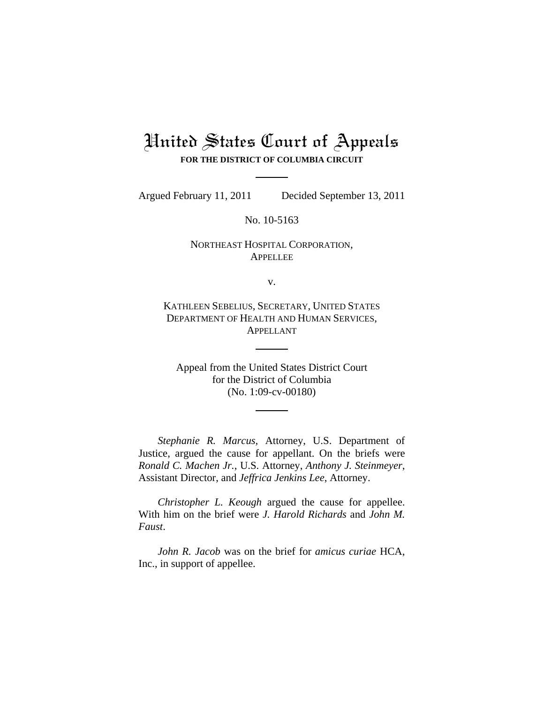# United States Court of Appeals **FOR THE DISTRICT OF COLUMBIA CIRCUIT**

Argued February 11, 2011 Decided September 13, 2011

No. 10-5163

# NORTHEAST HOSPITAL CORPORATION, APPELLEE

v.

KATHLEEN SEBELIUS, SECRETARY, UNITED STATES DEPARTMENT OF HEALTH AND HUMAN SERVICES, APPELLANT

Appeal from the United States District Court for the District of Columbia (No. 1:09-cv-00180)

*Stephanie R. Marcus,* Attorney, U.S. Department of Justice, argued the cause for appellant. On the briefs were *Ronald C. Machen Jr.*, U.S. Attorney, *Anthony J. Steinmeyer*, Assistant Director, and *Jeffrica Jenkins Lee*, Attorney.

*Christopher L. Keough* argued the cause for appellee. With him on the brief were *J. Harold Richards* and *John M. Faust*.

*John R. Jacob* was on the brief for *amicus curiae* HCA, Inc., in support of appellee.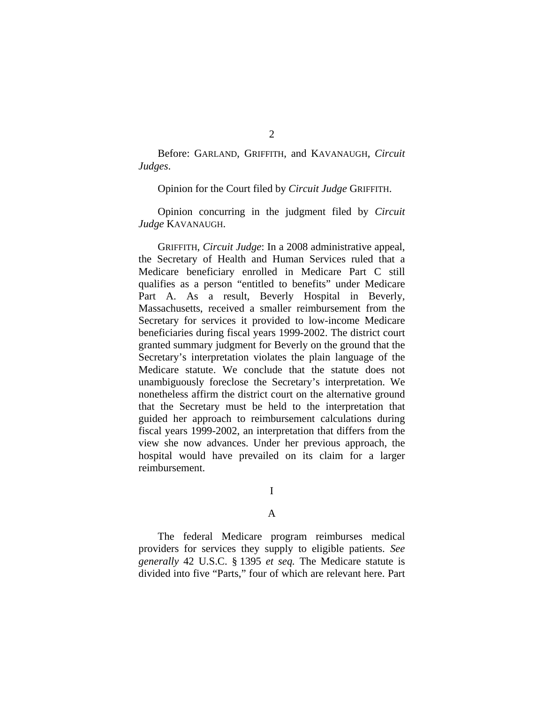Before: GARLAND, GRIFFITH, and KAVANAUGH, *Circuit Judges*.

Opinion for the Court filed by *Circuit Judge* GRIFFITH.

Opinion concurring in the judgment filed by *Circuit Judge* KAVANAUGH.

GRIFFITH, *Circuit Judge*: In a 2008 administrative appeal, the Secretary of Health and Human Services ruled that a Medicare beneficiary enrolled in Medicare Part C still qualifies as a person "entitled to benefits" under Medicare Part A. As a result, Beverly Hospital in Beverly, Massachusetts, received a smaller reimbursement from the Secretary for services it provided to low-income Medicare beneficiaries during fiscal years 1999-2002. The district court granted summary judgment for Beverly on the ground that the Secretary's interpretation violates the plain language of the Medicare statute. We conclude that the statute does not unambiguously foreclose the Secretary's interpretation. We nonetheless affirm the district court on the alternative ground that the Secretary must be held to the interpretation that guided her approach to reimbursement calculations during fiscal years 1999-2002, an interpretation that differs from the view she now advances. Under her previous approach, the hospital would have prevailed on its claim for a larger reimbursement.

# I

### A

 The federal Medicare program reimburses medical providers for services they supply to eligible patients. *See generally* 42 U.S.C. § 1395 *et seq.* The Medicare statute is divided into five "Parts," four of which are relevant here. Part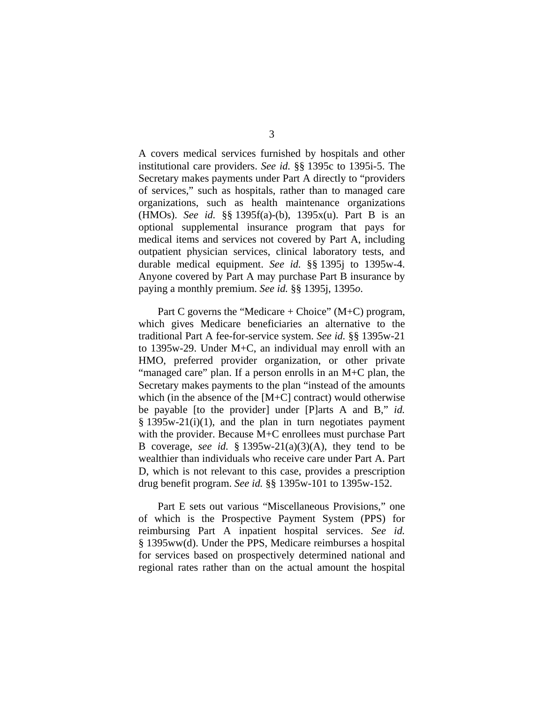A covers medical services furnished by hospitals and other institutional care providers. *See id.* §§ 1395c to 1395i-5. The Secretary makes payments under Part A directly to "providers of services," such as hospitals, rather than to managed care organizations, such as health maintenance organizations (HMOs). *See id.* §§ 1395f(a)-(b), 1395x(u). Part B is an optional supplemental insurance program that pays for medical items and services not covered by Part A, including outpatient physician services, clinical laboratory tests, and durable medical equipment. *See id.* §§ 1395j to 1395w-4. Anyone covered by Part A may purchase Part B insurance by paying a monthly premium. *See id.* §§ 1395j, 1395*o*.

Part C governs the "Medicare  $+$  Choice" (M+C) program, which gives Medicare beneficiaries an alternative to the traditional Part A fee-for-service system. *See id.* §§ 1395w-21 to 1395w-29. Under M+C, an individual may enroll with an HMO, preferred provider organization, or other private "managed care" plan. If a person enrolls in an M+C plan, the Secretary makes payments to the plan "instead of the amounts which (in the absence of the [M+C] contract) would otherwise be payable [to the provider] under [P]arts A and B," *id.*  $§$  1395w-21(i)(1), and the plan in turn negotiates payment with the provider. Because M+C enrollees must purchase Part B coverage, *see id.* § 1395w-21(a)(3)(A), they tend to be wealthier than individuals who receive care under Part A. Part D, which is not relevant to this case, provides a prescription drug benefit program. *See id.* §§ 1395w-101 to 1395w-152.

Part E sets out various "Miscellaneous Provisions," one of which is the Prospective Payment System (PPS) for reimbursing Part A inpatient hospital services. *See id.* § 1395ww(d). Under the PPS, Medicare reimburses a hospital for services based on prospectively determined national and regional rates rather than on the actual amount the hospital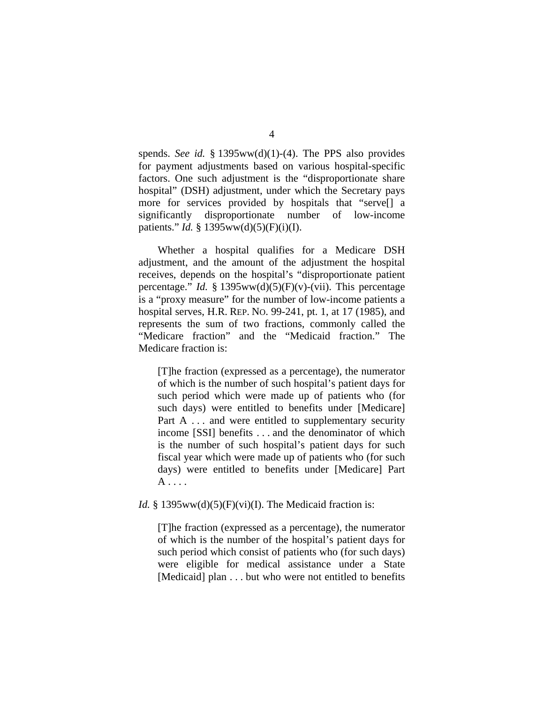spends. *See id.* § 1395ww(d)(1)-(4). The PPS also provides for payment adjustments based on various hospital-specific factors. One such adjustment is the "disproportionate share hospital" (DSH) adjustment, under which the Secretary pays more for services provided by hospitals that "serve[] a significantly disproportionate number of low-income patients." *Id.* § 1395ww(d)(5)(F)(i)(I).

 Whether a hospital qualifies for a Medicare DSH adjustment, and the amount of the adjustment the hospital receives, depends on the hospital's "disproportionate patient percentage." *Id.* § 1395ww(d)(5)(F)(v)-(vii). This percentage is a "proxy measure" for the number of low-income patients a hospital serves, H.R. REP. NO. 99-241, pt. 1, at 17 (1985), and represents the sum of two fractions, commonly called the "Medicare fraction" and the "Medicaid fraction." The Medicare fraction is:

[T]he fraction (expressed as a percentage), the numerator of which is the number of such hospital's patient days for such period which were made up of patients who (for such days) were entitled to benefits under [Medicare] Part A ... and were entitled to supplementary security income [SSI] benefits . . . and the denominator of which is the number of such hospital's patient days for such fiscal year which were made up of patients who (for such days) were entitled to benefits under [Medicare] Part  $A \ldots$ 

## *Id.*  $\S$  1395ww(d)(5)(F)(vi)(I). The Medicaid fraction is:

[T]he fraction (expressed as a percentage), the numerator of which is the number of the hospital's patient days for such period which consist of patients who (for such days) were eligible for medical assistance under a State [Medicaid] plan . . . but who were not entitled to benefits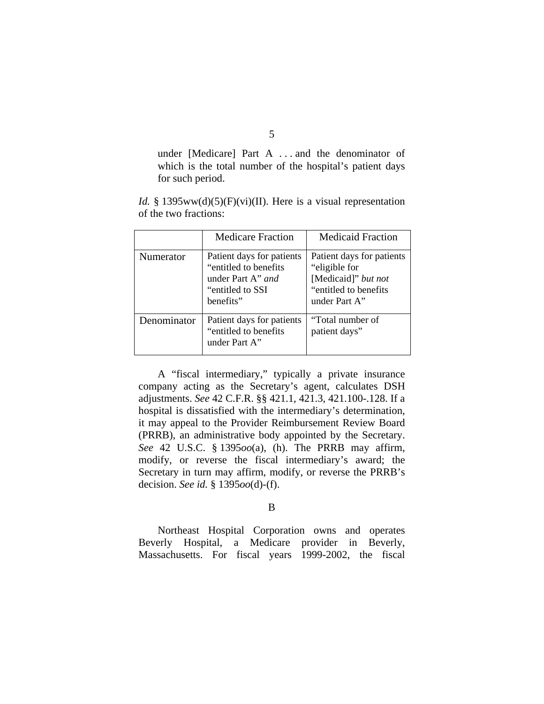under [Medicare] Part A . . . and the denominator of which is the total number of the hospital's patient days for such period.

*Id.* § 1395ww(d)(5)(F)(vi)(II). Here is a visual representation of the two fractions:

|             | <b>Medicare Fraction</b>                                                                                   | <b>Medicaid Fraction</b>                                                                                      |
|-------------|------------------------------------------------------------------------------------------------------------|---------------------------------------------------------------------------------------------------------------|
| Numerator   | Patient days for patients<br>"entitled to benefits"<br>under Part A" and<br>"entitled to SSI"<br>benefits" | Patient days for patients<br>"eligible for"<br>[Medicaid]" but not<br>"entitled to benefits"<br>under Part A" |
| Denominator | Patient days for patients<br>"entitled to benefits"<br>under Part A"                                       | "Total number of<br>patient days"                                                                             |

 A "fiscal intermediary," typically a private insurance company acting as the Secretary's agent, calculates DSH adjustments. *See* 42 C.F.R. §§ 421.1, 421.3, 421.100-.128. If a hospital is dissatisfied with the intermediary's determination, it may appeal to the Provider Reimbursement Review Board (PRRB), an administrative body appointed by the Secretary. *See* 42 U.S.C. § 1395*oo*(a), (h). The PRRB may affirm, modify, or reverse the fiscal intermediary's award; the Secretary in turn may affirm, modify, or reverse the PRRB's decision. *See id.* § 1395*oo*(d)-(f).

B

 Northeast Hospital Corporation owns and operates Beverly Hospital, a Medicare provider in Beverly, Massachusetts. For fiscal years 1999-2002, the fiscal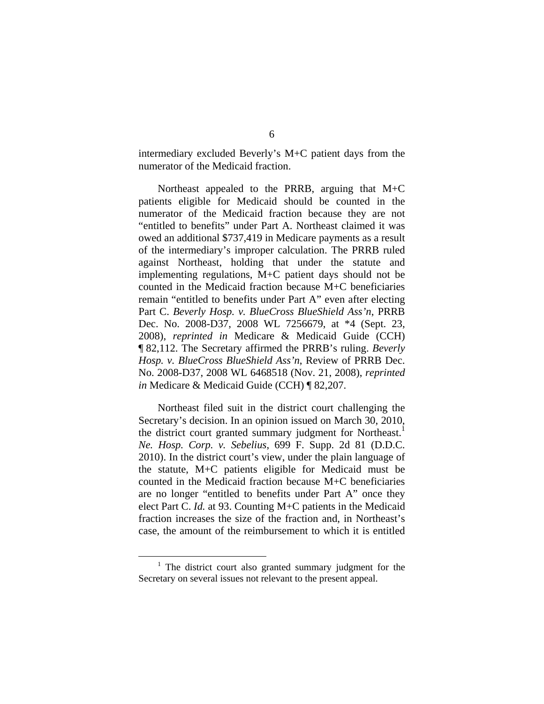intermediary excluded Beverly's M+C patient days from the numerator of the Medicaid fraction.

 Northeast appealed to the PRRB, arguing that M+C patients eligible for Medicaid should be counted in the numerator of the Medicaid fraction because they are not "entitled to benefits" under Part A. Northeast claimed it was owed an additional \$737,419 in Medicare payments as a result of the intermediary's improper calculation. The PRRB ruled against Northeast, holding that under the statute and implementing regulations, M+C patient days should not be counted in the Medicaid fraction because M+C beneficiaries remain "entitled to benefits under Part A" even after electing Part C. *Beverly Hosp. v. BlueCross BlueShield Ass'n*, PRRB Dec. No. 2008-D37, 2008 WL 7256679, at \*4 (Sept. 23, 2008), *reprinted in* Medicare & Medicaid Guide (CCH) ¶ 82,112. The Secretary affirmed the PRRB's ruling. *Beverly Hosp. v. BlueCross BlueShield Ass'n*, Review of PRRB Dec. No. 2008-D37, 2008 WL 6468518 (Nov. 21, 2008), *reprinted in* Medicare & Medicaid Guide (CCH) ¶ 82,207.

Northeast filed suit in the district court challenging the Secretary's decision. In an opinion issued on March 30, 2010, the district court granted summary judgment for Northeast.<sup>1</sup> *Ne. Hosp. Corp. v. Sebelius*, 699 F. Supp. 2d 81 (D.D.C. 2010). In the district court's view, under the plain language of the statute, M+C patients eligible for Medicaid must be counted in the Medicaid fraction because M+C beneficiaries are no longer "entitled to benefits under Part A" once they elect Part C. *Id.* at 93. Counting M+C patients in the Medicaid fraction increases the size of the fraction and, in Northeast's case, the amount of the reimbursement to which it is entitled

 <sup>1</sup>  $1$  The district court also granted summary judgment for the Secretary on several issues not relevant to the present appeal.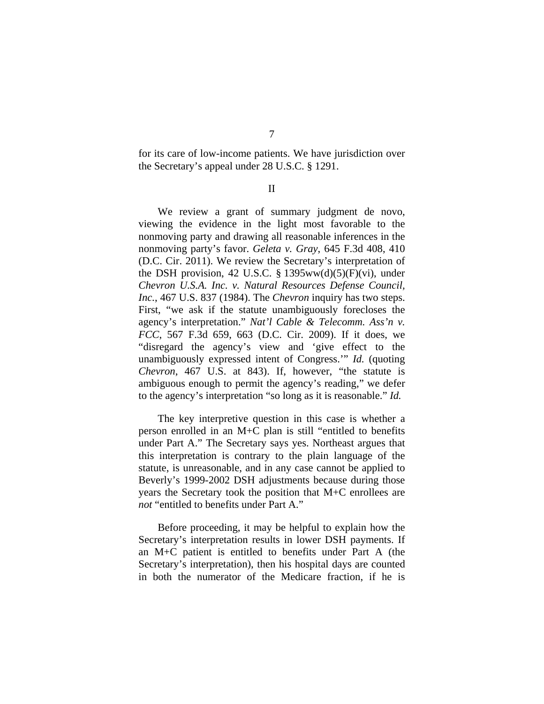for its care of low-income patients. We have jurisdiction over the Secretary's appeal under 28 U.S.C. § 1291.

II

We review a grant of summary judgment de novo, viewing the evidence in the light most favorable to the nonmoving party and drawing all reasonable inferences in the nonmoving party's favor. *Geleta v. Gray*, 645 F.3d 408, 410 (D.C. Cir. 2011). We review the Secretary's interpretation of the DSH provision, 42 U.S.C.  $\S$  1395ww(d)(5)(F)(vi), under *Chevron U.S.A. Inc. v. Natural Resources Defense Council, Inc.*, 467 U.S. 837 (1984). The *Chevron* inquiry has two steps. First, "we ask if the statute unambiguously forecloses the agency's interpretation." *Nat'l Cable & Telecomm. Ass'n v. FCC*, 567 F.3d 659, 663 (D.C. Cir. 2009). If it does, we "disregard the agency's view and 'give effect to the unambiguously expressed intent of Congress.'" *Id.* (quoting *Chevron*, 467 U.S. at 843). If, however, "the statute is ambiguous enough to permit the agency's reading," we defer to the agency's interpretation "so long as it is reasonable." *Id.*

 The key interpretive question in this case is whether a person enrolled in an M+C plan is still "entitled to benefits under Part A." The Secretary says yes. Northeast argues that this interpretation is contrary to the plain language of the statute, is unreasonable, and in any case cannot be applied to Beverly's 1999-2002 DSH adjustments because during those years the Secretary took the position that M+C enrollees are *not* "entitled to benefits under Part A."

 Before proceeding, it may be helpful to explain how the Secretary's interpretation results in lower DSH payments. If an M+C patient is entitled to benefits under Part A (the Secretary's interpretation), then his hospital days are counted in both the numerator of the Medicare fraction, if he is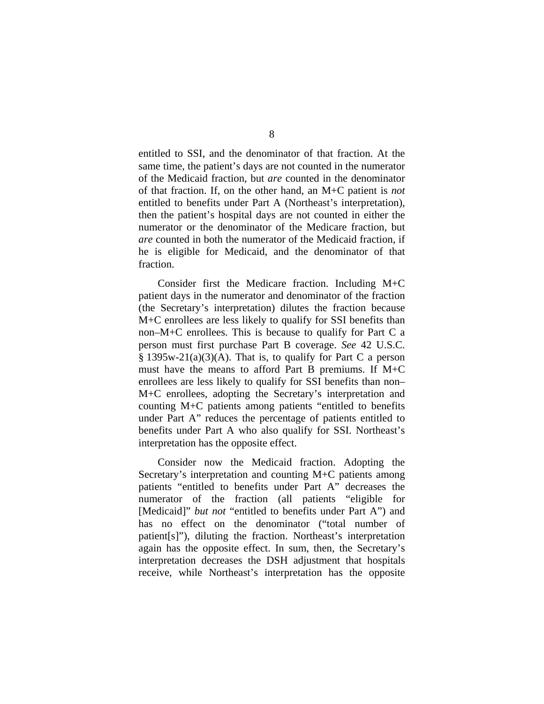entitled to SSI, and the denominator of that fraction. At the same time, the patient's days are not counted in the numerator of the Medicaid fraction, but *are* counted in the denominator of that fraction. If, on the other hand, an M+C patient is *not* entitled to benefits under Part A (Northeast's interpretation), then the patient's hospital days are not counted in either the numerator or the denominator of the Medicare fraction, but *are* counted in both the numerator of the Medicaid fraction, if he is eligible for Medicaid, and the denominator of that fraction.

 Consider first the Medicare fraction. Including M+C patient days in the numerator and denominator of the fraction (the Secretary's interpretation) dilutes the fraction because M+C enrollees are less likely to qualify for SSI benefits than non–M+C enrollees. This is because to qualify for Part C a person must first purchase Part B coverage. *See* 42 U.S.C.  $§$  1395w-21(a)(3)(A). That is, to qualify for Part C a person must have the means to afford Part B premiums. If M+C enrollees are less likely to qualify for SSI benefits than non– M+C enrollees, adopting the Secretary's interpretation and counting M+C patients among patients "entitled to benefits under Part A" reduces the percentage of patients entitled to benefits under Part A who also qualify for SSI. Northeast's interpretation has the opposite effect.

 Consider now the Medicaid fraction. Adopting the Secretary's interpretation and counting M+C patients among patients "entitled to benefits under Part A" decreases the numerator of the fraction (all patients "eligible for [Medicaid]" *but not* "entitled to benefits under Part A") and has no effect on the denominator ("total number of patient[s]"), diluting the fraction. Northeast's interpretation again has the opposite effect. In sum, then, the Secretary's interpretation decreases the DSH adjustment that hospitals receive, while Northeast's interpretation has the opposite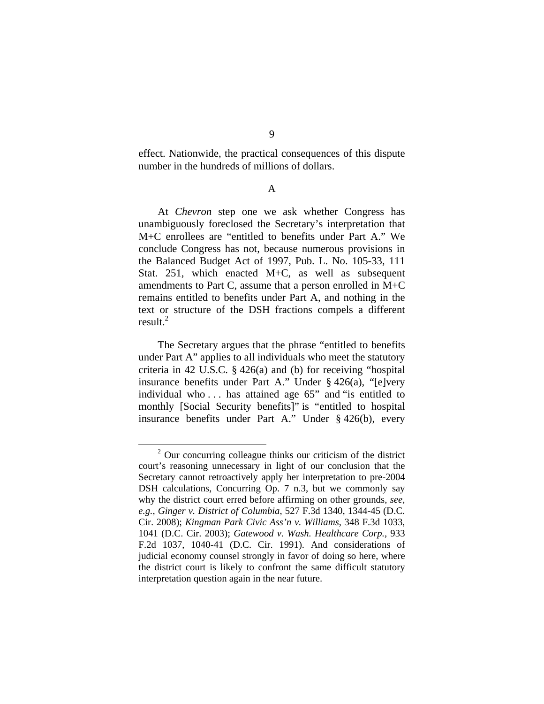effect. Nationwide, the practical consequences of this dispute number in the hundreds of millions of dollars.

A

At *Chevron* step one we ask whether Congress has unambiguously foreclosed the Secretary's interpretation that M+C enrollees are "entitled to benefits under Part A." We conclude Congress has not, because numerous provisions in the Balanced Budget Act of 1997, Pub. L. No. 105-33, 111 Stat. 251, which enacted M+C, as well as subsequent amendments to Part C, assume that a person enrolled in M+C remains entitled to benefits under Part A, and nothing in the text or structure of the DSH fractions compels a different result.<sup>2</sup>

The Secretary argues that the phrase "entitled to benefits under Part A" applies to all individuals who meet the statutory criteria in 42 U.S.C. § 426(a) and (b) for receiving "hospital insurance benefits under Part A." Under § 426(a), "[e]very individual who . . . has attained age 65" and "is entitled to monthly [Social Security benefits]" is "entitled to hospital insurance benefits under Part A." Under § 426(b), every

 <sup>2</sup>  $2$  Our concurring colleague thinks our criticism of the district court's reasoning unnecessary in light of our conclusion that the Secretary cannot retroactively apply her interpretation to pre-2004 DSH calculations, Concurring Op. 7 n.3, but we commonly say why the district court erred before affirming on other grounds, *see, e.g.*, *Ginger v. District of Columbia*, 527 F.3d 1340, 1344-45 (D.C. Cir. 2008); *Kingman Park Civic Ass'n v. Williams*, 348 F.3d 1033, 1041 (D.C. Cir. 2003); *Gatewood v. Wash. Healthcare Corp.*, 933 F.2d 1037, 1040-41 (D.C. Cir. 1991). And considerations of judicial economy counsel strongly in favor of doing so here, where the district court is likely to confront the same difficult statutory interpretation question again in the near future.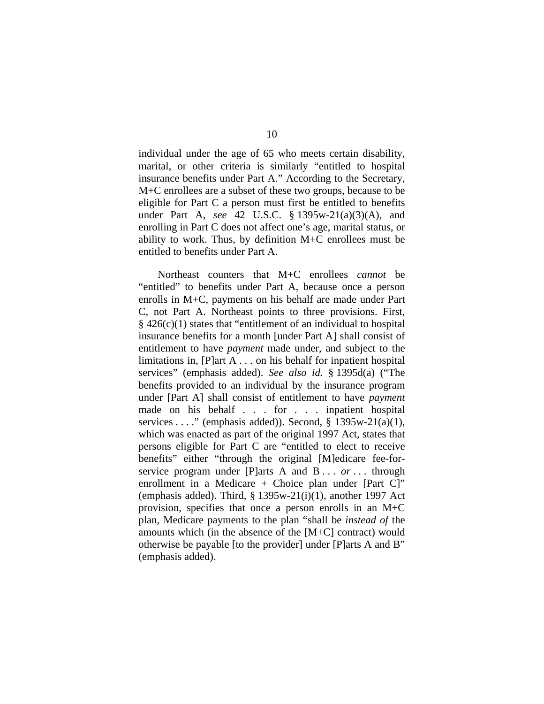individual under the age of 65 who meets certain disability, marital, or other criteria is similarly "entitled to hospital insurance benefits under Part A." According to the Secretary, M+C enrollees are a subset of these two groups, because to be eligible for Part C a person must first be entitled to benefits under Part A, *see* 42 U.S.C. § 1395w-21(a)(3)(A), and enrolling in Part C does not affect one's age, marital status, or ability to work. Thus, by definition  $M+C$  enrollees must be entitled to benefits under Part A.

Northeast counters that M+C enrollees *cannot* be "entitled" to benefits under Part A, because once a person enrolls in M+C, payments on his behalf are made under Part C, not Part A. Northeast points to three provisions. First,  $§$  426(c)(1) states that "entitlement of an individual to hospital insurance benefits for a month [under Part A] shall consist of entitlement to have *payment* made under, and subject to the limitations in, [P]art A . . . on his behalf for inpatient hospital services" (emphasis added). *See also id.* § 1395d(a) ("The benefits provided to an individual by the insurance program under [Part A] shall consist of entitlement to have *payment* made on his behalf . . . for . . . inpatient hospital services . . . ." (emphasis added)). Second,  $\S$  1395w-21(a)(1), which was enacted as part of the original 1997 Act, states that persons eligible for Part C are "entitled to elect to receive benefits" either "through the original [M]edicare fee-forservice program under [P]arts A and B . . . *or* . . . through enrollment in a Medicare  $+$  Choice plan under [Part C]" (emphasis added). Third,  $\S$  1395w-21(i)(1), another 1997 Act provision, specifies that once a person enrolls in an M+C plan, Medicare payments to the plan "shall be *instead of* the amounts which (in the absence of the [M+C] contract) would otherwise be payable [to the provider] under [P]arts A and B" (emphasis added).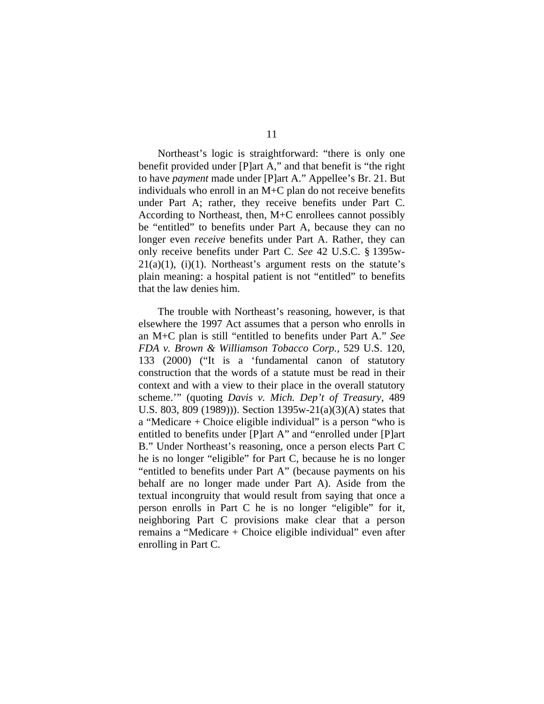Northeast's logic is straightforward: "there is only one benefit provided under [P]art A," and that benefit is "the right to have *payment* made under [P]art A." Appellee's Br. 21. But individuals who enroll in an M+C plan do not receive benefits under Part A; rather, they receive benefits under Part C. According to Northeast, then, M+C enrollees cannot possibly be "entitled" to benefits under Part A, because they can no longer even *receive* benefits under Part A. Rather, they can only receive benefits under Part C. *See* 42 U.S.C. § 1395w- $21(a)(1)$ ,  $(i)(1)$ . Northeast's argument rests on the statute's plain meaning: a hospital patient is not "entitled" to benefits that the law denies him.

The trouble with Northeast's reasoning, however, is that elsewhere the 1997 Act assumes that a person who enrolls in an M+C plan is still "entitled to benefits under Part A." *See FDA v. Brown & Williamson Tobacco Corp.*, 529 U.S. 120, 133 (2000) ("It is a 'fundamental canon of statutory construction that the words of a statute must be read in their context and with a view to their place in the overall statutory scheme.'" (quoting *Davis v. Mich. Dep't of Treasury*, 489 U.S. 803, 809 (1989))). Section 1395w-21(a)(3)(A) states that a "Medicare + Choice eligible individual" is a person "who is entitled to benefits under [P]art A" and "enrolled under [P]art B." Under Northeast's reasoning, once a person elects Part C he is no longer "eligible" for Part C, because he is no longer "entitled to benefits under Part A" (because payments on his behalf are no longer made under Part A). Aside from the textual incongruity that would result from saying that once a person enrolls in Part C he is no longer "eligible" for it, neighboring Part C provisions make clear that a person remains a "Medicare + Choice eligible individual" even after enrolling in Part C.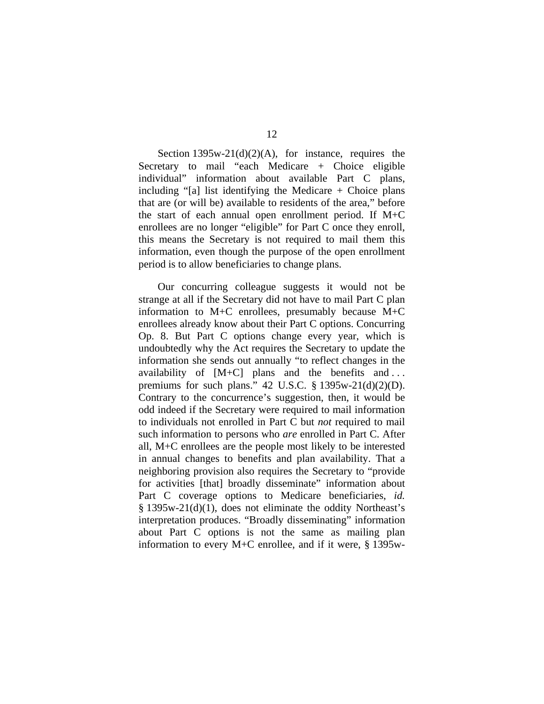12

Section  $1395w-21(d)(2)(A)$ , for instance, requires the Secretary to mail "each Medicare + Choice eligible individual" information about available Part C plans, including "[a] list identifying the Medicare  $+$  Choice plans that are (or will be) available to residents of the area," before the start of each annual open enrollment period. If M+C enrollees are no longer "eligible" for Part C once they enroll, this means the Secretary is not required to mail them this information, even though the purpose of the open enrollment period is to allow beneficiaries to change plans.

Our concurring colleague suggests it would not be strange at all if the Secretary did not have to mail Part C plan information to M+C enrollees, presumably because M+C enrollees already know about their Part C options. Concurring Op. 8. But Part C options change every year, which is undoubtedly why the Act requires the Secretary to update the information she sends out annually "to reflect changes in the availability of [M+C] plans and the benefits and . . . premiums for such plans." 42 U.S.C.  $\S$  1395w-21(d)(2)(D). Contrary to the concurrence's suggestion, then, it would be odd indeed if the Secretary were required to mail information to individuals not enrolled in Part C but *not* required to mail such information to persons who *are* enrolled in Part C. After all, M+C enrollees are the people most likely to be interested in annual changes to benefits and plan availability. That a neighboring provision also requires the Secretary to "provide for activities [that] broadly disseminate" information about Part C coverage options to Medicare beneficiaries, *id.* § 1395w-21(d)(1), does not eliminate the oddity Northeast's interpretation produces. "Broadly disseminating" information about Part C options is not the same as mailing plan information to every M+C enrollee, and if it were, § 1395w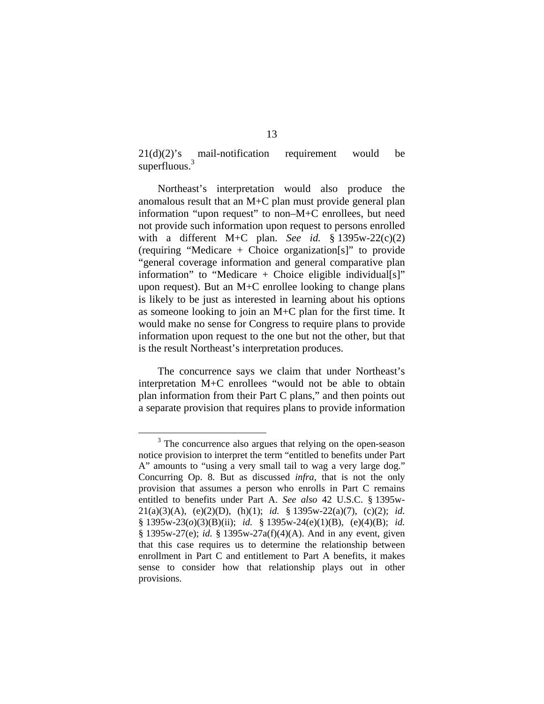$21(d)(2)$ 's mail-notification requirement would be superfluous. $3$ 

Northeast's interpretation would also produce the anomalous result that an M+C plan must provide general plan information "upon request" to non–M+C enrollees, but need not provide such information upon request to persons enrolled with a different M+C plan. *See id.* § 1395w-22(c)(2) (requiring "Medicare + Choice organization[s]" to provide "general coverage information and general comparative plan information" to "Medicare  $+$  Choice eligible individual[s]" upon request). But an M+C enrollee looking to change plans is likely to be just as interested in learning about his options as someone looking to join an M+C plan for the first time. It would make no sense for Congress to require plans to provide information upon request to the one but not the other, but that is the result Northeast's interpretation produces.

The concurrence says we claim that under Northeast's interpretation M+C enrollees "would not be able to obtain plan information from their Part C plans," and then points out a separate provision that requires plans to provide information

 $\frac{1}{3}$  $3$  The concurrence also argues that relying on the open-season notice provision to interpret the term "entitled to benefits under Part A" amounts to "using a very small tail to wag a very large dog." Concurring Op. 8. But as discussed *infra*, that is not the only provision that assumes a person who enrolls in Part C remains entitled to benefits under Part A. *See also* 42 U.S.C. § 1395w-21(a)(3)(A), (e)(2)(D), (h)(1); *id.* § 1395w-22(a)(7), (c)(2); *id.* § 1395w-23(*o*)(3)(B)(ii); *id.* § 1395w-24(e)(1)(B), (e)(4)(B); *id.* § 1395w-27(e); *id.* § 1395w-27a(f)(4)(A). And in any event, given that this case requires us to determine the relationship between enrollment in Part C and entitlement to Part A benefits, it makes sense to consider how that relationship plays out in other provisions.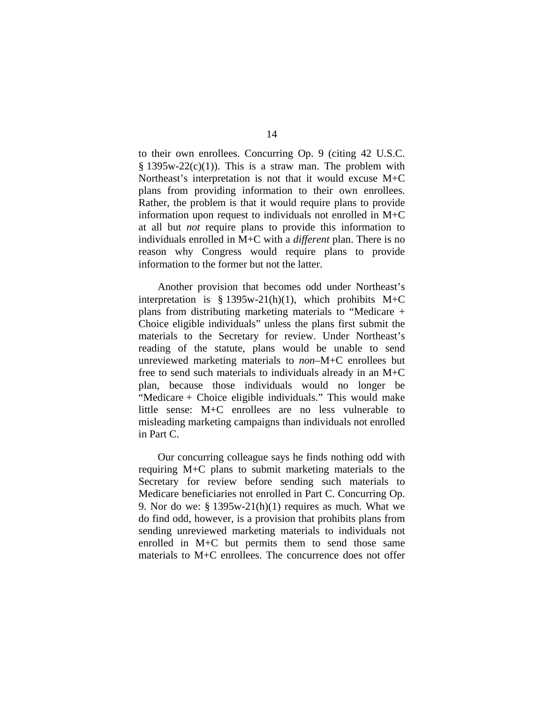to their own enrollees. Concurring Op. 9 (citing 42 U.S.C.  $§ 1395w-22(c)(1)$ . This is a straw man. The problem with Northeast's interpretation is not that it would excuse M+C plans from providing information to their own enrollees. Rather, the problem is that it would require plans to provide information upon request to individuals not enrolled in M+C at all but *not* require plans to provide this information to individuals enrolled in M+C with a *different* plan. There is no reason why Congress would require plans to provide information to the former but not the latter.

Another provision that becomes odd under Northeast's interpretation is  $§ 1395w-21(h)(1)$ , which prohibits M+C plans from distributing marketing materials to "Medicare + Choice eligible individuals" unless the plans first submit the materials to the Secretary for review. Under Northeast's reading of the statute, plans would be unable to send unreviewed marketing materials to *non*–M+C enrollees but free to send such materials to individuals already in an M+C plan, because those individuals would no longer be "Medicare + Choice eligible individuals." This would make little sense: M+C enrollees are no less vulnerable to misleading marketing campaigns than individuals not enrolled in Part C.

Our concurring colleague says he finds nothing odd with requiring M+C plans to submit marketing materials to the Secretary for review before sending such materials to Medicare beneficiaries not enrolled in Part C. Concurring Op. 9. Nor do we:  $\S 1395w-21(h)(1)$  requires as much. What we do find odd, however, is a provision that prohibits plans from sending unreviewed marketing materials to individuals not enrolled in M+C but permits them to send those same materials to M+C enrollees. The concurrence does not offer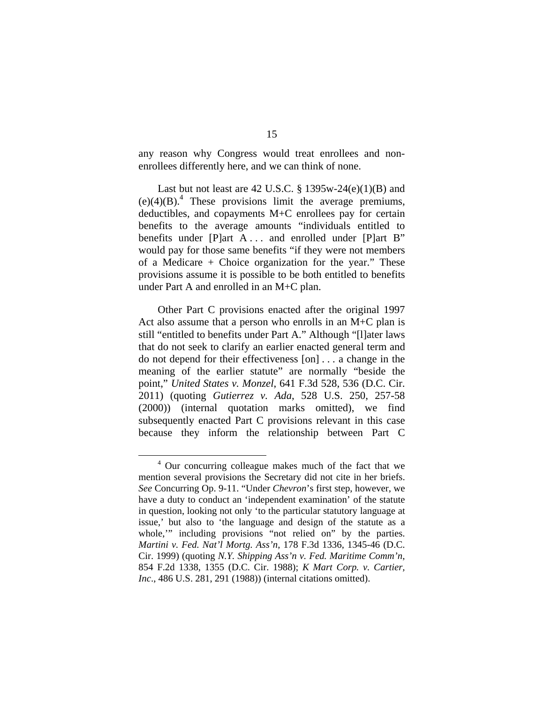any reason why Congress would treat enrollees and nonenrollees differently here, and we can think of none.

Last but not least are 42 U.S.C.  $\S$  1395w-24(e)(1)(B) and  $(e)(4)(B)^4$ . These provisions limit the average premiums, deductibles, and copayments M+C enrollees pay for certain benefits to the average amounts "individuals entitled to benefits under [P]art A ... and enrolled under [P]art B" would pay for those same benefits "if they were not members of a Medicare + Choice organization for the year." These provisions assume it is possible to be both entitled to benefits under Part A and enrolled in an M+C plan.

Other Part C provisions enacted after the original 1997 Act also assume that a person who enrolls in an M+C plan is still "entitled to benefits under Part A." Although "[l]ater laws that do not seek to clarify an earlier enacted general term and do not depend for their effectiveness [on] . . . a change in the meaning of the earlier statute" are normally "beside the point," *United States v. Monzel*, 641 F.3d 528, 536 (D.C. Cir. 2011) (quoting *Gutierrez v. Ada*, 528 U.S. 250, 257-58 (2000)) (internal quotation marks omitted), we find subsequently enacted Part C provisions relevant in this case because they inform the relationship between Part C

 $\overline{a}$ <sup>4</sup> Our concurring colleague makes much of the fact that we mention several provisions the Secretary did not cite in her briefs. *See* Concurring Op. 9-11. "Under *Chevron*'s first step, however, we have a duty to conduct an 'independent examination' of the statute in question, looking not only 'to the particular statutory language at issue,' but also to 'the language and design of the statute as a whole," including provisions "not relied on" by the parties. *Martini v. Fed. Nat'l Mortg. Ass'n*, 178 F.3d 1336, 1345-46 (D.C. Cir. 1999) (quoting *N.Y. Shipping Ass'n v. Fed. Maritime Comm'n*, 854 F.2d 1338, 1355 (D.C. Cir. 1988); *K Mart Corp. v. Cartier, Inc*., 486 U.S. 281, 291 (1988)) (internal citations omitted).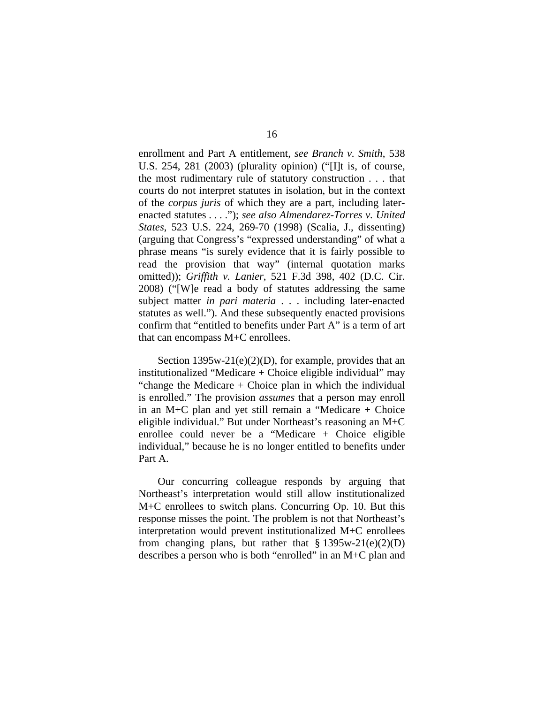enrollment and Part A entitlement, *see Branch v. Smith*, 538 U.S. 254, 281 (2003) (plurality opinion) ("[I]t is, of course, the most rudimentary rule of statutory construction . . . that courts do not interpret statutes in isolation, but in the context of the *corpus juris* of which they are a part, including laterenacted statutes . . . ."); *see also Almendarez-Torres v. United States*, 523 U.S. 224, 269-70 (1998) (Scalia, J., dissenting) (arguing that Congress's "expressed understanding" of what a phrase means "is surely evidence that it is fairly possible to read the provision that way" (internal quotation marks omitted)); *Griffith v. Lanier*, 521 F.3d 398, 402 (D.C. Cir. 2008) ("[W]e read a body of statutes addressing the same subject matter *in pari materia* . . . including later-enacted statutes as well."). And these subsequently enacted provisions confirm that "entitled to benefits under Part A" is a term of art that can encompass M+C enrollees.

Section 1395w-21(e)(2)(D), for example, provides that an institutionalized "Medicare  $+$  Choice eligible individual" may "change the Medicare  $+$  Choice plan in which the individual is enrolled." The provision *assumes* that a person may enroll in an M+C plan and yet still remain a "Medicare + Choice eligible individual." But under Northeast's reasoning an M+C enrollee could never be a "Medicare + Choice eligible individual," because he is no longer entitled to benefits under Part A.

Our concurring colleague responds by arguing that Northeast's interpretation would still allow institutionalized M+C enrollees to switch plans. Concurring Op. 10. But this response misses the point. The problem is not that Northeast's interpretation would prevent institutionalized M+C enrollees from changing plans, but rather that  $\S 1395w-21(e)(2)(D)$ describes a person who is both "enrolled" in an M+C plan and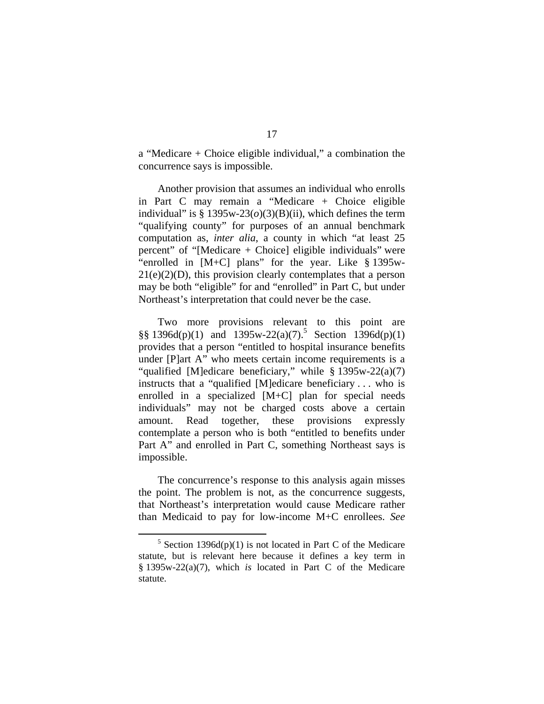a "Medicare + Choice eligible individual," a combination the concurrence says is impossible.

Another provision that assumes an individual who enrolls in Part C may remain a "Medicare + Choice eligible individual" is  $\S 1395w-23(0)(3)(B)(ii)$ , which defines the term "qualifying county" for purposes of an annual benchmark computation as, *inter alia*, a county in which "at least 25 percent" of "[Medicare + Choice] eligible individuals" were "enrolled in [M+C] plans" for the year. Like § 1395w- $21(e)(2)(D)$ , this provision clearly contemplates that a person may be both "eligible" for and "enrolled" in Part C, but under Northeast's interpretation that could never be the case.

Two more provisions relevant to this point are  $\S\S 1396d(p)(1)$  and  $1395w-22(a)(7)$ .<sup>5</sup> Section  $1396d(p)(1)$ provides that a person "entitled to hospital insurance benefits under [P]art A" who meets certain income requirements is a "qualified [M]edicare beneficiary," while § 1395w-22(a)(7) instructs that a "qualified [M]edicare beneficiary . . . who is enrolled in a specialized [M+C] plan for special needs individuals" may not be charged costs above a certain amount. Read together, these provisions expressly contemplate a person who is both "entitled to benefits under Part A" and enrolled in Part C, something Northeast says is impossible.

The concurrence's response to this analysis again misses the point. The problem is not, as the concurrence suggests, that Northeast's interpretation would cause Medicare rather than Medicaid to pay for low-income M+C enrollees. *See*

 $\frac{1}{5}$  $5$  Section 1396d(p)(1) is not located in Part C of the Medicare statute, but is relevant here because it defines a key term in § 1395w-22(a)(7), which *is* located in Part C of the Medicare statute.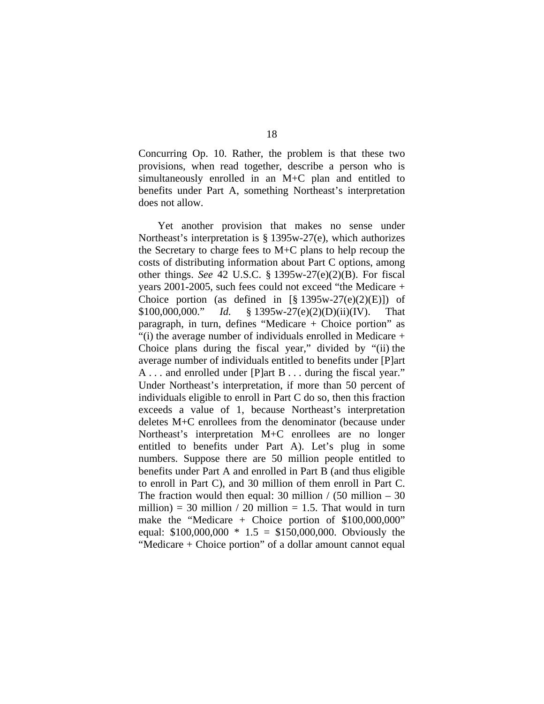Concurring Op. 10. Rather, the problem is that these two provisions, when read together, describe a person who is simultaneously enrolled in an M+C plan and entitled to benefits under Part A, something Northeast's interpretation does not allow.

Yet another provision that makes no sense under Northeast's interpretation is § 1395w-27(e), which authorizes the Secretary to charge fees to M+C plans to help recoup the costs of distributing information about Part C options, among other things. *See* 42 U.S.C. § 1395w-27(e)(2)(B). For fiscal years 2001-2005, such fees could not exceed "the Medicare + Choice portion (as defined in  $[\S 1395w-27(e)(2)(E)]$ ) of \$100,000,000." *Id.* § 1395w-27(e)(2)(D)(ii)(IV). That paragraph, in turn, defines "Medicare + Choice portion" as "(i) the average number of individuals enrolled in Medicare + Choice plans during the fiscal year," divided by "(ii) the average number of individuals entitled to benefits under [P]art A . . . and enrolled under [P]art B . . . during the fiscal year." Under Northeast's interpretation, if more than 50 percent of individuals eligible to enroll in Part C do so, then this fraction exceeds a value of 1, because Northeast's interpretation deletes M+C enrollees from the denominator (because under Northeast's interpretation M+C enrollees are no longer entitled to benefits under Part A). Let's plug in some numbers. Suppose there are 50 million people entitled to benefits under Part A and enrolled in Part B (and thus eligible to enroll in Part C), and 30 million of them enroll in Part C. The fraction would then equal: 30 million  $/$  (50 million – 30 million) = 30 million  $/$  20 million = 1.5. That would in turn make the "Medicare + Choice portion of  $$100,000,000$ " equal:  $$100,000,000 * 1.5 = $150,000,000$ . Obviously the "Medicare + Choice portion" of a dollar amount cannot equal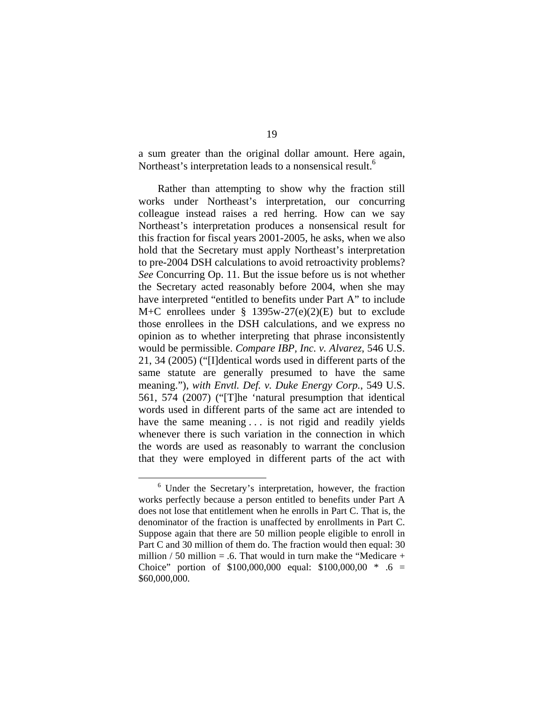a sum greater than the original dollar amount. Here again, Northeast's interpretation leads to a nonsensical result.<sup>6</sup>

Rather than attempting to show why the fraction still works under Northeast's interpretation, our concurring colleague instead raises a red herring. How can we say Northeast's interpretation produces a nonsensical result for this fraction for fiscal years 2001-2005, he asks, when we also hold that the Secretary must apply Northeast's interpretation to pre-2004 DSH calculations to avoid retroactivity problems? *See* Concurring Op. 11. But the issue before us is not whether the Secretary acted reasonably before 2004, when she may have interpreted "entitled to benefits under Part A" to include M+C enrollees under  $\S$  1395w-27(e)(2)(E) but to exclude those enrollees in the DSH calculations, and we express no opinion as to whether interpreting that phrase inconsistently would be permissible. *Compare IBP, Inc. v. Alvarez*, 546 U.S. 21, 34 (2005) ("[I]dentical words used in different parts of the same statute are generally presumed to have the same meaning."), *with Envtl. Def. v. Duke Energy Corp.*, 549 U.S. 561, 574 (2007) ("[T]he 'natural presumption that identical words used in different parts of the same act are intended to have the same meaning . . . is not rigid and readily yields whenever there is such variation in the connection in which the words are used as reasonably to warrant the conclusion that they were employed in different parts of the act with

 $\frac{1}{6}$ <sup>6</sup> Under the Secretary's interpretation, however, the fraction works perfectly because a person entitled to benefits under Part A does not lose that entitlement when he enrolls in Part C. That is, the denominator of the fraction is unaffected by enrollments in Part C. Suppose again that there are 50 million people eligible to enroll in Part C and 30 million of them do. The fraction would then equal: 30 million / 50 million = .6. That would in turn make the "Medicare  $+$ Choice" portion of \$100,000,000 equal: \$100,000,00 \* .6 = \$60,000,000.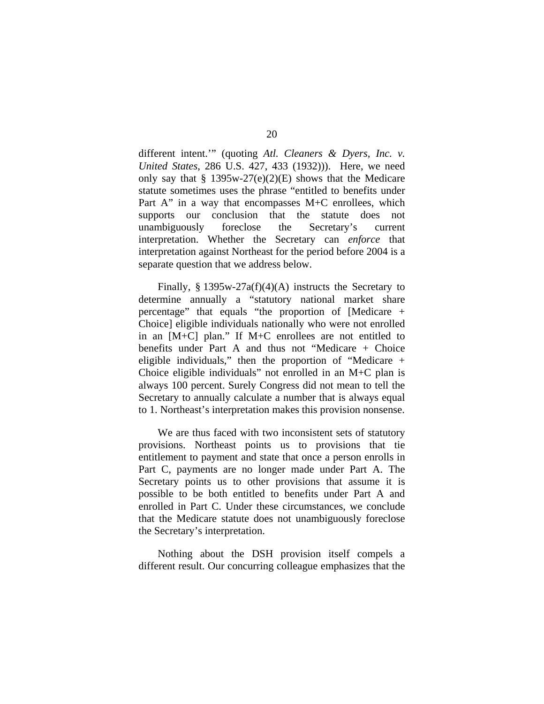different intent.'" (quoting *Atl. Cleaners & Dyers, Inc. v. United States*, 286 U.S. 427, 433 (1932))). Here, we need only say that  $\S 1395w-27(e)(2)(E)$  shows that the Medicare statute sometimes uses the phrase "entitled to benefits under Part A" in a way that encompasses  $M+C$  enrollees, which supports our conclusion that the statute does not unambiguously foreclose the Secretary's current interpretation. Whether the Secretary can *enforce* that interpretation against Northeast for the period before 2004 is a separate question that we address below.

Finally,  $\S 1395w-27a(f)(4)(A)$  instructs the Secretary to determine annually a "statutory national market share percentage" that equals "the proportion of [Medicare + Choice] eligible individuals nationally who were not enrolled in an [M+C] plan." If M+C enrollees are not entitled to benefits under Part A and thus not "Medicare + Choice eligible individuals," then the proportion of "Medicare + Choice eligible individuals" not enrolled in an M+C plan is always 100 percent. Surely Congress did not mean to tell the Secretary to annually calculate a number that is always equal to 1. Northeast's interpretation makes this provision nonsense.

We are thus faced with two inconsistent sets of statutory provisions. Northeast points us to provisions that tie entitlement to payment and state that once a person enrolls in Part C, payments are no longer made under Part A. The Secretary points us to other provisions that assume it is possible to be both entitled to benefits under Part A and enrolled in Part C. Under these circumstances, we conclude that the Medicare statute does not unambiguously foreclose the Secretary's interpretation.

Nothing about the DSH provision itself compels a different result. Our concurring colleague emphasizes that the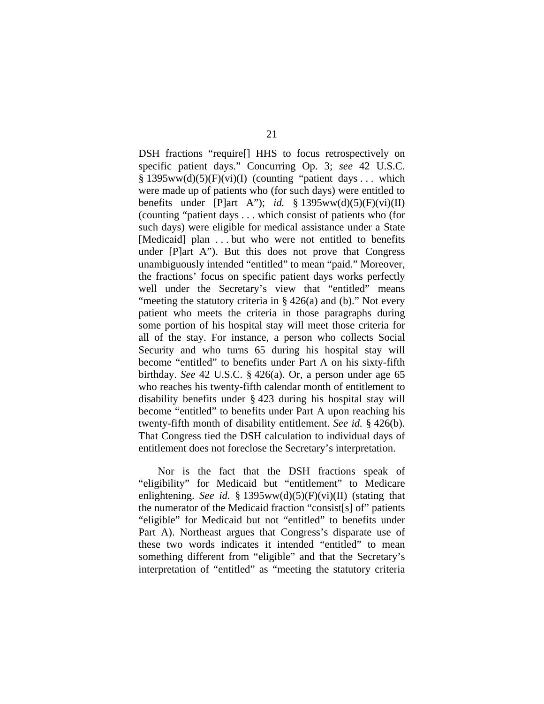DSH fractions "require[] HHS to focus retrospectively on specific patient days." Concurring Op. 3; *see* 42 U.S.C.  $§ 1395ww(d)(5)(F)(vi)(I)$  (counting "patient days ... which were made up of patients who (for such days) were entitled to benefits under [P]art A"); *id.* § 1395ww(d)(5)(F)(vi)(II) (counting "patient days . . . which consist of patients who (for such days) were eligible for medical assistance under a State [Medicaid] plan . . . but who were not entitled to benefits under [P]art A"). But this does not prove that Congress unambiguously intended "entitled" to mean "paid." Moreover, the fractions' focus on specific patient days works perfectly well under the Secretary's view that "entitled" means "meeting the statutory criteria in  $\S$  426(a) and (b)." Not every patient who meets the criteria in those paragraphs during some portion of his hospital stay will meet those criteria for all of the stay. For instance, a person who collects Social Security and who turns 65 during his hospital stay will become "entitled" to benefits under Part A on his sixty-fifth birthday. *See* 42 U.S.C. § 426(a). Or, a person under age 65 who reaches his twenty-fifth calendar month of entitlement to disability benefits under § 423 during his hospital stay will become "entitled" to benefits under Part A upon reaching his twenty-fifth month of disability entitlement. *See id.* § 426(b). That Congress tied the DSH calculation to individual days of entitlement does not foreclose the Secretary's interpretation.

Nor is the fact that the DSH fractions speak of "eligibility" for Medicaid but "entitlement" to Medicare enlightening. *See id.*  $\frac{8}{3}$  1395ww(d)(5)(F)(vi)(II) (stating that the numerator of the Medicaid fraction "consist[s] of" patients "eligible" for Medicaid but not "entitled" to benefits under Part A). Northeast argues that Congress's disparate use of these two words indicates it intended "entitled" to mean something different from "eligible" and that the Secretary's interpretation of "entitled" as "meeting the statutory criteria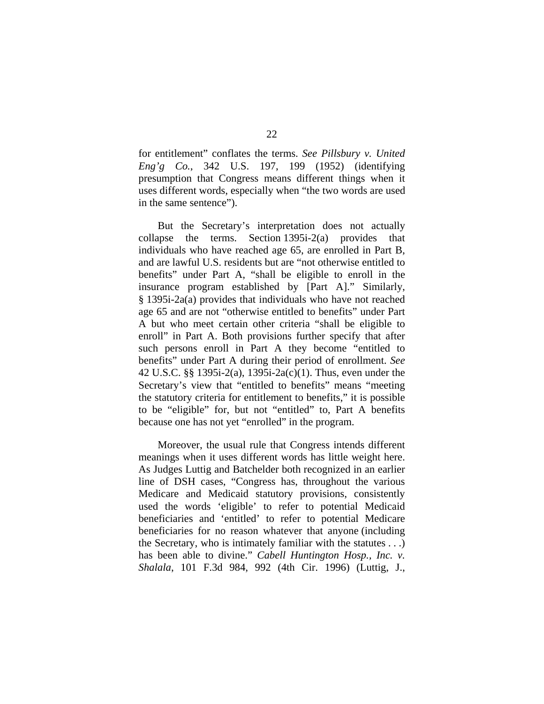for entitlement" conflates the terms. *See Pillsbury v. United Eng'g Co.*, 342 U.S. 197, 199 (1952) (identifying presumption that Congress means different things when it uses different words, especially when "the two words are used in the same sentence").

But the Secretary's interpretation does not actually collapse the terms. Section 1395i-2(a) provides that individuals who have reached age 65, are enrolled in Part B, and are lawful U.S. residents but are "not otherwise entitled to benefits" under Part A, "shall be eligible to enroll in the insurance program established by [Part A]." Similarly, § 1395i-2a(a) provides that individuals who have not reached age 65 and are not "otherwise entitled to benefits" under Part A but who meet certain other criteria "shall be eligible to enroll" in Part A. Both provisions further specify that after such persons enroll in Part A they become "entitled to benefits" under Part A during their period of enrollment. *See* 42 U.S.C. §§ 1395i-2(a), 1395i-2a(c)(1). Thus, even under the Secretary's view that "entitled to benefits" means "meeting the statutory criteria for entitlement to benefits," it is possible to be "eligible" for, but not "entitled" to, Part A benefits because one has not yet "enrolled" in the program.

Moreover, the usual rule that Congress intends different meanings when it uses different words has little weight here. As Judges Luttig and Batchelder both recognized in an earlier line of DSH cases, "Congress has, throughout the various Medicare and Medicaid statutory provisions, consistently used the words 'eligible' to refer to potential Medicaid beneficiaries and 'entitled' to refer to potential Medicare beneficiaries for no reason whatever that anyone (including the Secretary, who is intimately familiar with the statutes . . .) has been able to divine." *Cabell Huntington Hosp., Inc. v. Shalala*, 101 F.3d 984, 992 (4th Cir. 1996) (Luttig, J.,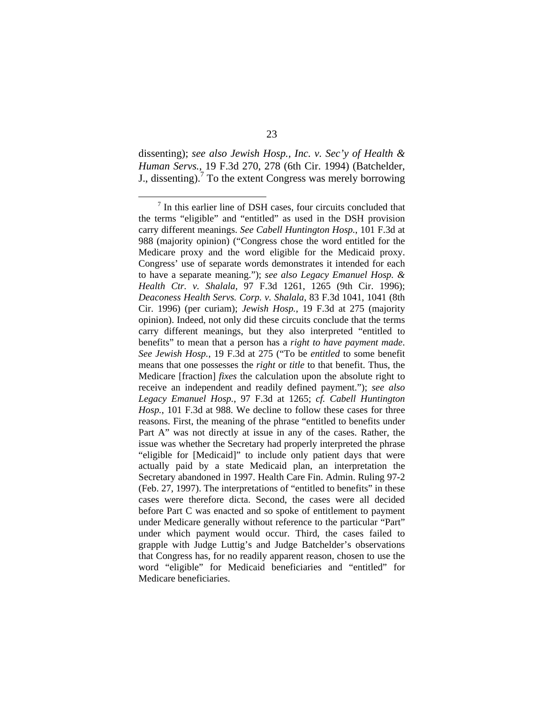dissenting); *see also Jewish Hosp., Inc. v. Sec'y of Health & Human Servs.*, 19 F.3d 270, 278 (6th Cir. 1994) (Batchelder, J., dissenting).<sup>7</sup> To the extent Congress was merely borrowing

 $\overline{7}$  $\frac{7}{1}$  In this earlier line of DSH cases, four circuits concluded that the terms "eligible" and "entitled" as used in the DSH provision carry different meanings. *See Cabell Huntington Hosp.*, 101 F.3d at 988 (majority opinion) ("Congress chose the word entitled for the Medicare proxy and the word eligible for the Medicaid proxy. Congress' use of separate words demonstrates it intended for each to have a separate meaning."); *see also Legacy Emanuel Hosp. & Health Ctr. v. Shalala*, 97 F.3d 1261, 1265 (9th Cir. 1996); *Deaconess Health Servs. Corp. v. Shalala*, 83 F.3d 1041, 1041 (8th Cir. 1996) (per curiam); *Jewish Hosp.*, 19 F.3d at 275 (majority opinion). Indeed, not only did these circuits conclude that the terms carry different meanings, but they also interpreted "entitled to benefits" to mean that a person has a *right to have payment made*. *See Jewish Hosp.*, 19 F.3d at 275 ("To be *entitled* to some benefit means that one possesses the *right* or *title* to that benefit. Thus, the Medicare [fraction] *fixes* the calculation upon the absolute right to receive an independent and readily defined payment."); *see also Legacy Emanuel Hosp.*, 97 F.3d at 1265; *cf. Cabell Huntington Hosp.*, 101 F.3d at 988. We decline to follow these cases for three reasons. First, the meaning of the phrase "entitled to benefits under Part A" was not directly at issue in any of the cases. Rather, the issue was whether the Secretary had properly interpreted the phrase "eligible for [Medicaid]" to include only patient days that were actually paid by a state Medicaid plan, an interpretation the Secretary abandoned in 1997. Health Care Fin. Admin. Ruling 97-2 (Feb. 27, 1997). The interpretations of "entitled to benefits" in these cases were therefore dicta. Second, the cases were all decided before Part C was enacted and so spoke of entitlement to payment under Medicare generally without reference to the particular "Part" under which payment would occur. Third, the cases failed to grapple with Judge Luttig's and Judge Batchelder's observations that Congress has, for no readily apparent reason, chosen to use the word "eligible" for Medicaid beneficiaries and "entitled" for Medicare beneficiaries.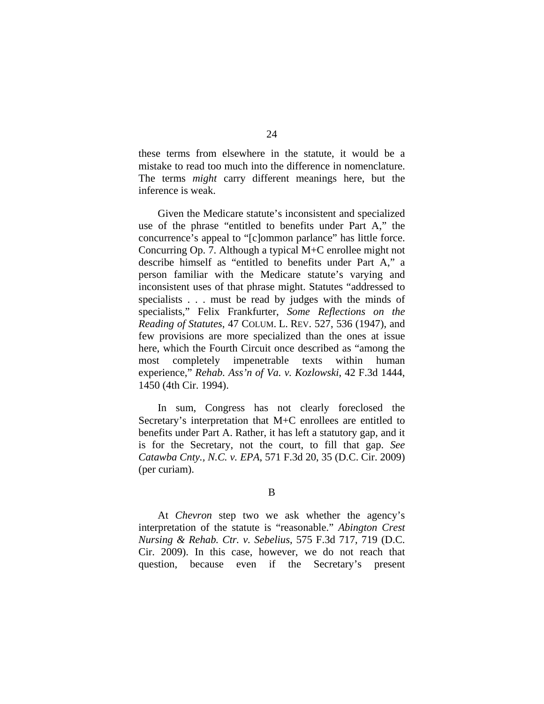these terms from elsewhere in the statute, it would be a mistake to read too much into the difference in nomenclature. The terms *might* carry different meanings here, but the inference is weak.

Given the Medicare statute's inconsistent and specialized use of the phrase "entitled to benefits under Part A," the concurrence's appeal to "[c]ommon parlance" has little force. Concurring Op. 7. Although a typical M+C enrollee might not describe himself as "entitled to benefits under Part A," a person familiar with the Medicare statute's varying and inconsistent uses of that phrase might. Statutes "addressed to specialists . . . must be read by judges with the minds of specialists," Felix Frankfurter, *Some Reflections on the Reading of Statutes*, 47 COLUM. L. REV. 527, 536 (1947), and few provisions are more specialized than the ones at issue here, which the Fourth Circuit once described as "among the most completely impenetrable texts within human experience," *Rehab. Ass'n of Va. v. Kozlowski*, 42 F.3d 1444, 1450 (4th Cir. 1994).

In sum, Congress has not clearly foreclosed the Secretary's interpretation that M+C enrollees are entitled to benefits under Part A. Rather, it has left a statutory gap, and it is for the Secretary, not the court, to fill that gap. *See Catawba Cnty., N.C. v. EPA*, 571 F.3d 20, 35 (D.C. Cir. 2009) (per curiam).

B

 At *Chevron* step two we ask whether the agency's interpretation of the statute is "reasonable." *Abington Crest Nursing & Rehab. Ctr. v. Sebelius*, 575 F.3d 717, 719 (D.C. Cir. 2009). In this case, however, we do not reach that question, because even if the Secretary's present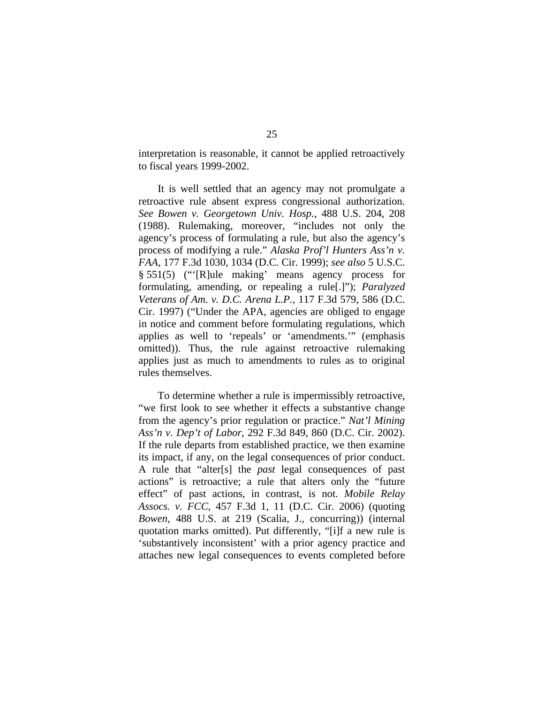interpretation is reasonable, it cannot be applied retroactively to fiscal years 1999-2002.

It is well settled that an agency may not promulgate a retroactive rule absent express congressional authorization. *See Bowen v. Georgetown Univ. Hosp.*, 488 U.S. 204, 208 (1988). Rulemaking, moreover, "includes not only the agency's process of formulating a rule, but also the agency's process of modifying a rule." *Alaska Prof'l Hunters Ass'n v. FAA*, 177 F.3d 1030, 1034 (D.C. Cir. 1999); *see also* 5 U.S.C. § 551(5) ("'[R]ule making' means agency process for formulating, amending, or repealing a rule[.]"); *Paralyzed Veterans of Am. v. D.C. Arena L.P.*, 117 F.3d 579, 586 (D.C. Cir. 1997) ("Under the APA, agencies are obliged to engage in notice and comment before formulating regulations, which applies as well to 'repeals' or 'amendments.'" (emphasis omitted)). Thus, the rule against retroactive rulemaking applies just as much to amendments to rules as to original rules themselves.

To determine whether a rule is impermissibly retroactive, "we first look to see whether it effects a substantive change from the agency's prior regulation or practice." *Nat'l Mining Ass'n v. Dep't of Labor*, 292 F.3d 849, 860 (D.C. Cir. 2002). If the rule departs from established practice, we then examine its impact, if any, on the legal consequences of prior conduct. A rule that "alter[s] the *past* legal consequences of past actions" is retroactive; a rule that alters only the "future effect" of past actions, in contrast, is not. *Mobile Relay Assocs. v. FCC*, 457 F.3d 1, 11 (D.C. Cir. 2006) (quoting *Bowen*, 488 U.S. at 219 (Scalia, J., concurring)) (internal quotation marks omitted). Put differently, "[i]f a new rule is 'substantively inconsistent' with a prior agency practice and attaches new legal consequences to events completed before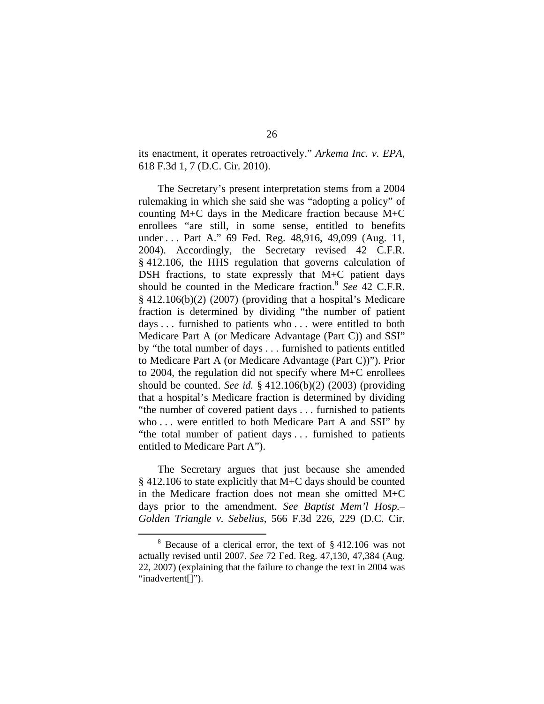its enactment, it operates retroactively." *Arkema Inc. v. EPA*, 618 F.3d 1, 7 (D.C. Cir. 2010).

The Secretary's present interpretation stems from a 2004 rulemaking in which she said she was "adopting a policy" of counting M+C days in the Medicare fraction because M+C enrollees "are still, in some sense, entitled to benefits under . . . Part A." 69 Fed. Reg. 48,916, 49,099 (Aug. 11, 2004). Accordingly, the Secretary revised 42 C.F.R. § 412.106, the HHS regulation that governs calculation of DSH fractions, to state expressly that M+C patient days should be counted in the Medicare fraction.<sup>8</sup> See 42 C.F.R. § 412.106(b)(2) (2007) (providing that a hospital's Medicare fraction is determined by dividing "the number of patient days . . . furnished to patients who . . . were entitled to both Medicare Part A (or Medicare Advantage (Part C)) and SSI" by "the total number of days . . . furnished to patients entitled to Medicare Part A (or Medicare Advantage (Part C))"). Prior to 2004, the regulation did not specify where M+C enrollees should be counted. *See id.* § 412.106(b)(2) (2003) (providing that a hospital's Medicare fraction is determined by dividing "the number of covered patient days . . . furnished to patients who . . . were entitled to both Medicare Part A and SSI" by "the total number of patient days . . . furnished to patients entitled to Medicare Part A").

The Secretary argues that just because she amended § 412.106 to state explicitly that M+C days should be counted in the Medicare fraction does not mean she omitted M+C days prior to the amendment. *See Baptist Mem'l Hosp.– Golden Triangle v. Sebelius*, 566 F.3d 226, 229 (D.C. Cir.

 <sup>8</sup>  $8$  Because of a clerical error, the text of  $§$  412.106 was not actually revised until 2007. *See* 72 Fed. Reg. 47,130, 47,384 (Aug. 22, 2007) (explaining that the failure to change the text in 2004 was "inadvertent[]").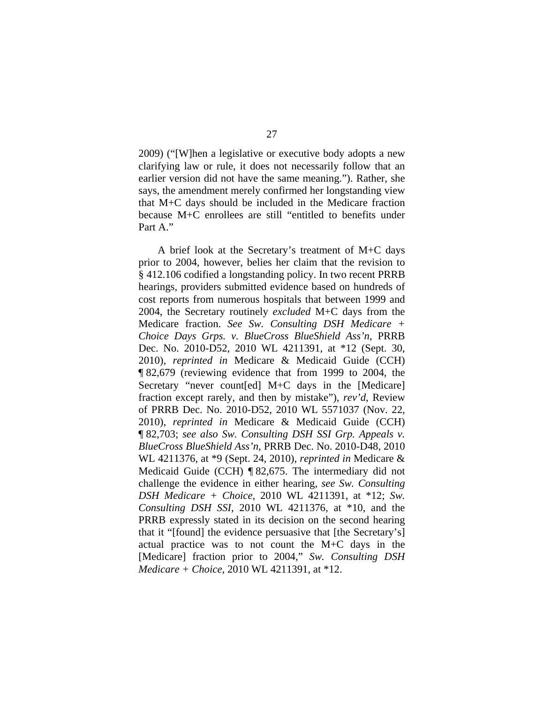2009) ("[W]hen a legislative or executive body adopts a new clarifying law or rule, it does not necessarily follow that an earlier version did not have the same meaning."). Rather, she says, the amendment merely confirmed her longstanding view that M+C days should be included in the Medicare fraction because M+C enrollees are still "entitled to benefits under Part A."

A brief look at the Secretary's treatment of M+C days prior to 2004, however, belies her claim that the revision to § 412.106 codified a longstanding policy. In two recent PRRB hearings, providers submitted evidence based on hundreds of cost reports from numerous hospitals that between 1999 and 2004, the Secretary routinely *excluded* M+C days from the Medicare fraction. *See Sw. Consulting DSH Medicare + Choice Days Grps. v. BlueCross BlueShield Ass'n*, PRRB Dec. No. 2010-D52, 2010 WL 4211391, at \*12 (Sept. 30, 2010), *reprinted in* Medicare & Medicaid Guide (CCH) ¶ 82,679 (reviewing evidence that from 1999 to 2004, the Secretary "never count[ed] M+C days in the [Medicare] fraction except rarely, and then by mistake"), *rev'd*, Review of PRRB Dec. No. 2010-D52, 2010 WL 5571037 (Nov. 22, 2010), *reprinted in* Medicare & Medicaid Guide (CCH) ¶ 82,703; *see also Sw. Consulting DSH SSI Grp. Appeals v. BlueCross BlueShield Ass'n*, PRRB Dec. No. 2010-D48, 2010 WL 4211376, at \*9 (Sept. 24, 2010), *reprinted in* Medicare & Medicaid Guide (CCH) ¶ 82,675. The intermediary did not challenge the evidence in either hearing, *see Sw. Consulting DSH Medicare + Choice*, 2010 WL 4211391, at \*12; *Sw. Consulting DSH SSI*, 2010 WL 4211376, at \*10, and the PRRB expressly stated in its decision on the second hearing that it "[found] the evidence persuasive that [the Secretary's] actual practice was to not count the M+C days in the [Medicare] fraction prior to 2004," *Sw. Consulting DSH Medicare + Choice*, 2010 WL 4211391, at \*12.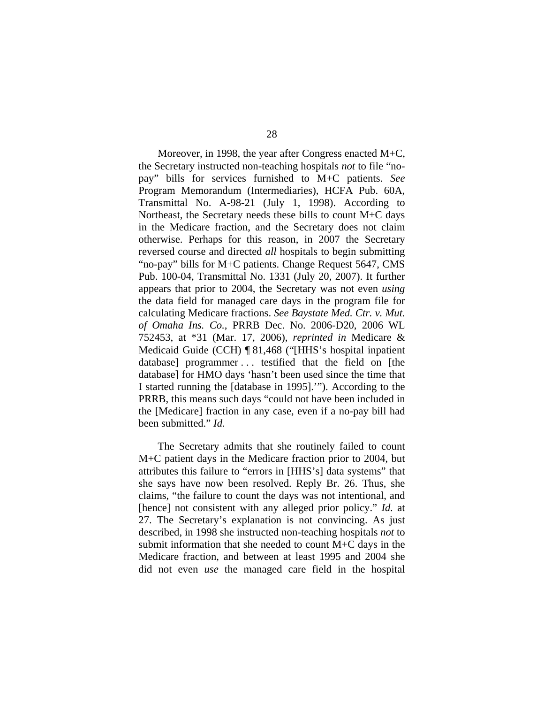Moreover, in 1998, the year after Congress enacted M+C, the Secretary instructed non-teaching hospitals *not* to file "nopay" bills for services furnished to M+C patients. *See* Program Memorandum (Intermediaries), HCFA Pub. 60A, Transmittal No. A-98-21 (July 1, 1998). According to Northeast, the Secretary needs these bills to count M+C days in the Medicare fraction, and the Secretary does not claim otherwise. Perhaps for this reason, in 2007 the Secretary reversed course and directed *all* hospitals to begin submitting "no-pay" bills for M+C patients. Change Request 5647, CMS Pub. 100-04, Transmittal No. 1331 (July 20, 2007). It further appears that prior to 2004, the Secretary was not even *using* the data field for managed care days in the program file for calculating Medicare fractions. *See Baystate Med. Ctr. v. Mut. of Omaha Ins. Co.*, PRRB Dec. No. 2006-D20, 2006 WL 752453, at \*31 (Mar. 17, 2006), *reprinted in* Medicare & Medicaid Guide (CCH) ¶ 81,468 ("[HHS's hospital inpatient database] programmer . . . testified that the field on [the database] for HMO days 'hasn't been used since the time that I started running the [database in 1995].'"). According to the PRRB, this means such days "could not have been included in the [Medicare] fraction in any case, even if a no-pay bill had been submitted." *Id.*

The Secretary admits that she routinely failed to count M+C patient days in the Medicare fraction prior to 2004, but attributes this failure to "errors in [HHS's] data systems" that she says have now been resolved. Reply Br. 26. Thus, she claims, "the failure to count the days was not intentional, and [hence] not consistent with any alleged prior policy." *Id.* at 27. The Secretary's explanation is not convincing. As just described, in 1998 she instructed non-teaching hospitals *not* to submit information that she needed to count M+C days in the Medicare fraction, and between at least 1995 and 2004 she did not even *use* the managed care field in the hospital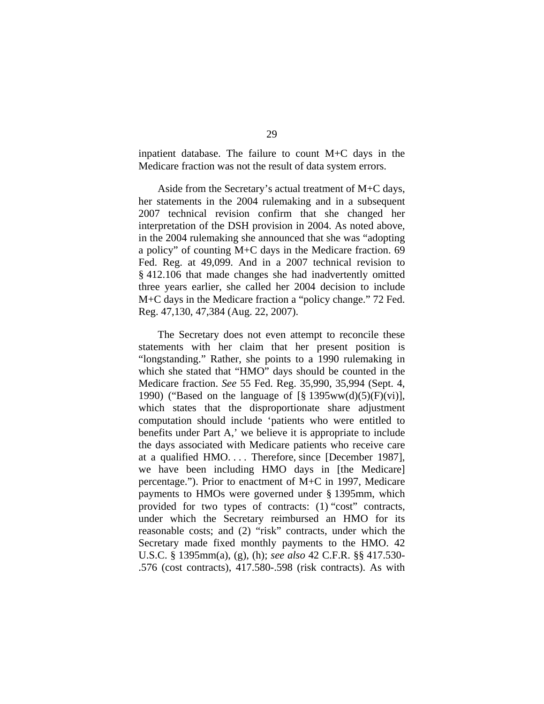inpatient database. The failure to count M+C days in the Medicare fraction was not the result of data system errors.

Aside from the Secretary's actual treatment of M+C days, her statements in the 2004 rulemaking and in a subsequent 2007 technical revision confirm that she changed her interpretation of the DSH provision in 2004. As noted above, in the 2004 rulemaking she announced that she was "adopting a policy" of counting M+C days in the Medicare fraction. 69 Fed. Reg. at 49,099. And in a 2007 technical revision to § 412.106 that made changes she had inadvertently omitted three years earlier, she called her 2004 decision to include M+C days in the Medicare fraction a "policy change." 72 Fed. Reg. 47,130, 47,384 (Aug. 22, 2007).

The Secretary does not even attempt to reconcile these statements with her claim that her present position is "longstanding." Rather, she points to a 1990 rulemaking in which she stated that "HMO" days should be counted in the Medicare fraction. *See* 55 Fed. Reg. 35,990, 35,994 (Sept. 4, 1990) ("Based on the language of  $\lbrack \S$  1395ww(d)(5)(F)(vi)], which states that the disproportionate share adjustment computation should include 'patients who were entitled to benefits under Part A,' we believe it is appropriate to include the days associated with Medicare patients who receive care at a qualified HMO. . . . Therefore, since [December 1987], we have been including HMO days in [the Medicare] percentage."). Prior to enactment of M+C in 1997, Medicare payments to HMOs were governed under § 1395mm, which provided for two types of contracts: (1) "cost" contracts, under which the Secretary reimbursed an HMO for its reasonable costs; and (2) "risk" contracts, under which the Secretary made fixed monthly payments to the HMO. 42 U.S.C. § 1395mm(a), (g), (h); *see also* 42 C.F.R. §§ 417.530- .576 (cost contracts), 417.580-.598 (risk contracts). As with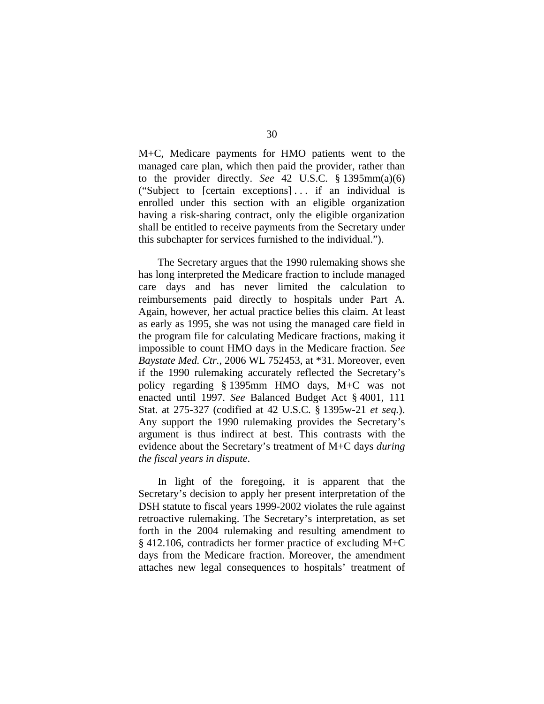M+C, Medicare payments for HMO patients went to the managed care plan, which then paid the provider, rather than to the provider directly. *See* 42 U.S.C. § 1395mm(a)(6) ("Subject to [certain exceptions] . . . if an individual is enrolled under this section with an eligible organization having a risk-sharing contract, only the eligible organization shall be entitled to receive payments from the Secretary under this subchapter for services furnished to the individual.").

The Secretary argues that the 1990 rulemaking shows she has long interpreted the Medicare fraction to include managed care days and has never limited the calculation to reimbursements paid directly to hospitals under Part A. Again, however, her actual practice belies this claim. At least as early as 1995, she was not using the managed care field in the program file for calculating Medicare fractions, making it impossible to count HMO days in the Medicare fraction. *See Baystate Med. Ctr.*, 2006 WL 752453, at \*31. Moreover, even if the 1990 rulemaking accurately reflected the Secretary's policy regarding § 1395mm HMO days, M+C was not enacted until 1997. *See* Balanced Budget Act § 4001, 111 Stat. at 275-327 (codified at 42 U.S.C. § 1395w-21 *et seq.*). Any support the 1990 rulemaking provides the Secretary's argument is thus indirect at best. This contrasts with the evidence about the Secretary's treatment of M+C days *during the fiscal years in dispute*.

In light of the foregoing, it is apparent that the Secretary's decision to apply her present interpretation of the DSH statute to fiscal years 1999-2002 violates the rule against retroactive rulemaking. The Secretary's interpretation, as set forth in the 2004 rulemaking and resulting amendment to § 412.106, contradicts her former practice of excluding M+C days from the Medicare fraction. Moreover, the amendment attaches new legal consequences to hospitals' treatment of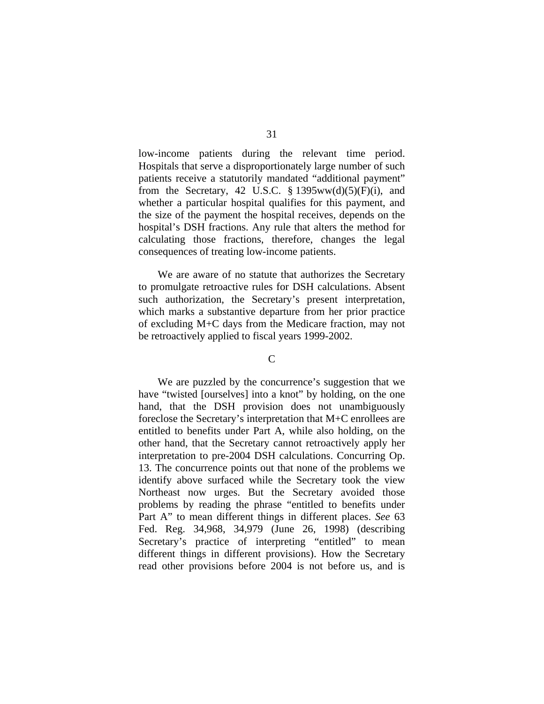low-income patients during the relevant time period. Hospitals that serve a disproportionately large number of such patients receive a statutorily mandated "additional payment" from the Secretary, 42 U.S.C.  $\S$  1395ww(d)(5)(F)(i), and whether a particular hospital qualifies for this payment, and the size of the payment the hospital receives, depends on the hospital's DSH fractions. Any rule that alters the method for calculating those fractions, therefore, changes the legal consequences of treating low-income patients.

We are aware of no statute that authorizes the Secretary to promulgate retroactive rules for DSH calculations. Absent such authorization, the Secretary's present interpretation, which marks a substantive departure from her prior practice of excluding M+C days from the Medicare fraction, may not be retroactively applied to fiscal years 1999-2002.

### $\mathcal{C}$

We are puzzled by the concurrence's suggestion that we have "twisted [ourselves] into a knot" by holding, on the one hand, that the DSH provision does not unambiguously foreclose the Secretary's interpretation that M+C enrollees are entitled to benefits under Part A, while also holding, on the other hand, that the Secretary cannot retroactively apply her interpretation to pre-2004 DSH calculations. Concurring Op. 13. The concurrence points out that none of the problems we identify above surfaced while the Secretary took the view Northeast now urges. But the Secretary avoided those problems by reading the phrase "entitled to benefits under Part A" to mean different things in different places. *See* 63 Fed. Reg. 34,968, 34,979 (June 26, 1998) (describing Secretary's practice of interpreting "entitled" to mean different things in different provisions). How the Secretary read other provisions before 2004 is not before us, and is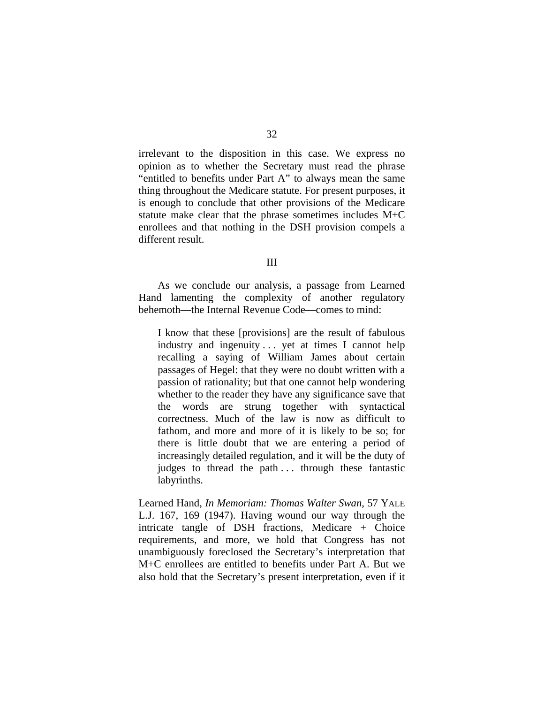irrelevant to the disposition in this case. We express no opinion as to whether the Secretary must read the phrase "entitled to benefits under Part A" to always mean the same thing throughout the Medicare statute. For present purposes, it is enough to conclude that other provisions of the Medicare statute make clear that the phrase sometimes includes M+C enrollees and that nothing in the DSH provision compels a different result.

#### III

As we conclude our analysis, a passage from Learned Hand lamenting the complexity of another regulatory behemoth—the Internal Revenue Code—comes to mind:

I know that these [provisions] are the result of fabulous industry and ingenuity . . . yet at times I cannot help recalling a saying of William James about certain passages of Hegel: that they were no doubt written with a passion of rationality; but that one cannot help wondering whether to the reader they have any significance save that the words are strung together with syntactical correctness. Much of the law is now as difficult to fathom, and more and more of it is likely to be so; for there is little doubt that we are entering a period of increasingly detailed regulation, and it will be the duty of judges to thread the path ... through these fantastic labyrinths.

Learned Hand, *In Memoriam: Thomas Walter Swan*, 57 YALE L.J. 167, 169 (1947). Having wound our way through the intricate tangle of DSH fractions, Medicare + Choice requirements, and more, we hold that Congress has not unambiguously foreclosed the Secretary's interpretation that M+C enrollees are entitled to benefits under Part A. But we also hold that the Secretary's present interpretation, even if it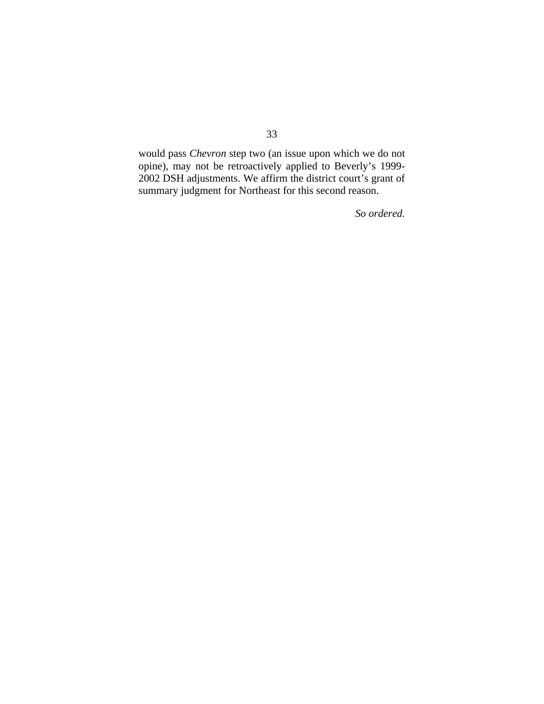would pass *Chevron* step two (an issue upon which we do not opine), may not be retroactively applied to Beverly's 1999- 2002 DSH adjustments. We affirm the district court's grant of summary judgment for Northeast for this second reason.

*So ordered.*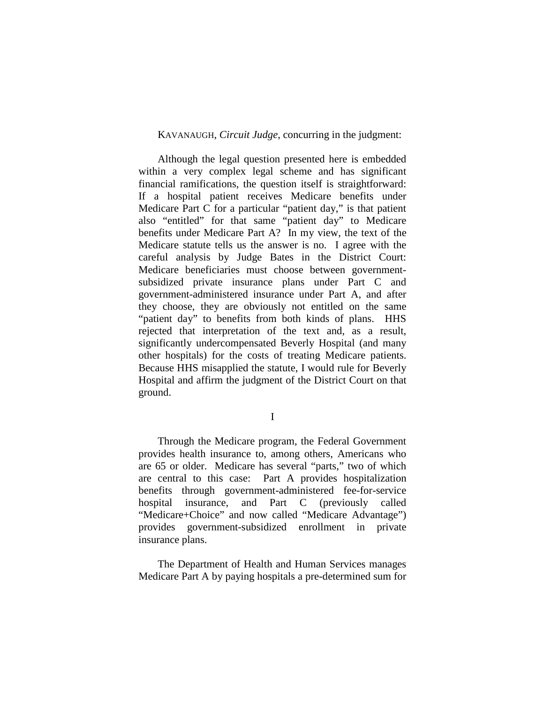## KAVANAUGH, *Circuit Judge*, concurring in the judgment:

Although the legal question presented here is embedded within a very complex legal scheme and has significant financial ramifications, the question itself is straightforward: If a hospital patient receives Medicare benefits under Medicare Part C for a particular "patient day," is that patient also "entitled" for that same "patient day" to Medicare benefits under Medicare Part A? In my view, the text of the Medicare statute tells us the answer is no. I agree with the careful analysis by Judge Bates in the District Court: Medicare beneficiaries must choose between governmentsubsidized private insurance plans under Part C and government-administered insurance under Part A, and after they choose, they are obviously not entitled on the same "patient day" to benefits from both kinds of plans. HHS rejected that interpretation of the text and, as a result, significantly undercompensated Beverly Hospital (and many other hospitals) for the costs of treating Medicare patients. Because HHS misapplied the statute, I would rule for Beverly Hospital and affirm the judgment of the District Court on that ground.

I

Through the Medicare program, the Federal Government provides health insurance to, among others, Americans who are 65 or older. Medicare has several "parts," two of which are central to this case: Part A provides hospitalization benefits through government-administered fee-for-service hospital insurance, and Part C (previously called "Medicare+Choice" and now called "Medicare Advantage") provides government-subsidized enrollment in private insurance plans.

The Department of Health and Human Services manages Medicare Part A by paying hospitals a pre-determined sum for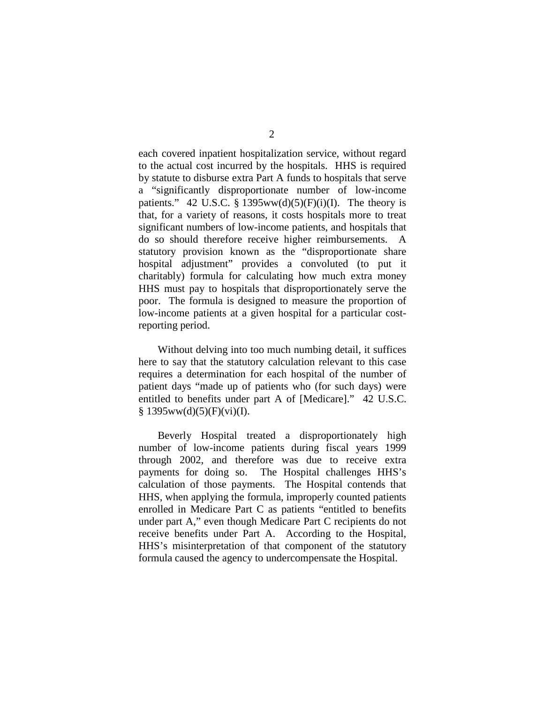each covered inpatient hospitalization service, without regard to the actual cost incurred by the hospitals. HHS is required by statute to disburse extra Part A funds to hospitals that serve a "significantly disproportionate number of low-income patients." 42 U.S.C. § 1395ww(d)(5)(F)(i)(I). The theory is that, for a variety of reasons, it costs hospitals more to treat significant numbers of low-income patients, and hospitals that do so should therefore receive higher reimbursements. A statutory provision known as the "disproportionate share hospital adjustment" provides a convoluted (to put it charitably) formula for calculating how much extra money HHS must pay to hospitals that disproportionately serve the poor. The formula is designed to measure the proportion of low-income patients at a given hospital for a particular costreporting period.

Without delving into too much numbing detail, it suffices here to say that the statutory calculation relevant to this case requires a determination for each hospital of the number of patient days "made up of patients who (for such days) were entitled to benefits under part A of [Medicare]." 42 U.S.C.  $§ 1395ww(d)(5)(F)(vi)(I).$ 

Beverly Hospital treated a disproportionately high number of low-income patients during fiscal years 1999 through 2002, and therefore was due to receive extra payments for doing so. The Hospital challenges HHS's calculation of those payments. The Hospital contends that HHS, when applying the formula, improperly counted patients enrolled in Medicare Part C as patients "entitled to benefits under part A," even though Medicare Part C recipients do not receive benefits under Part A. According to the Hospital, HHS's misinterpretation of that component of the statutory formula caused the agency to undercompensate the Hospital.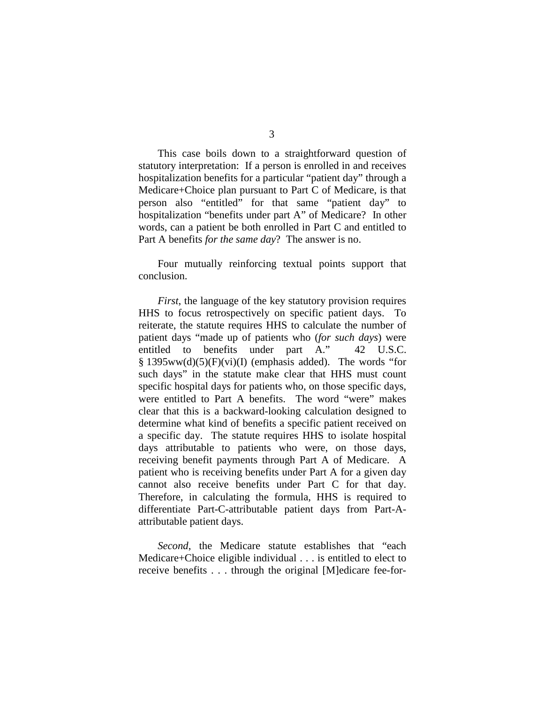This case boils down to a straightforward question of statutory interpretation: If a person is enrolled in and receives hospitalization benefits for a particular "patient day" through a Medicare+Choice plan pursuant to Part C of Medicare, is that person also "entitled" for that same "patient day" to hospitalization "benefits under part A" of Medicare? In other words, can a patient be both enrolled in Part C and entitled to Part A benefits *for the same day*? The answer is no.

Four mutually reinforcing textual points support that conclusion.

*First*, the language of the key statutory provision requires HHS to focus retrospectively on specific patient days. To reiterate, the statute requires HHS to calculate the number of patient days "made up of patients who (*for such days*) were entitled to benefits under part A." 42 U.S.C.  $§$  1395ww(d)(5)(F)(vi)(I) (emphasis added). The words "for such days" in the statute make clear that HHS must count specific hospital days for patients who, on those specific days, were entitled to Part A benefits. The word "were" makes clear that this is a backward-looking calculation designed to determine what kind of benefits a specific patient received on a specific day. The statute requires HHS to isolate hospital days attributable to patients who were, on those days, receiving benefit payments through Part A of Medicare. A patient who is receiving benefits under Part A for a given day cannot also receive benefits under Part C for that day. Therefore, in calculating the formula, HHS is required to differentiate Part-C-attributable patient days from Part-Aattributable patient days.

*Second*, the Medicare statute establishes that "each" Medicare+Choice eligible individual . . . is entitled to elect to receive benefits . . . through the original [M]edicare fee-for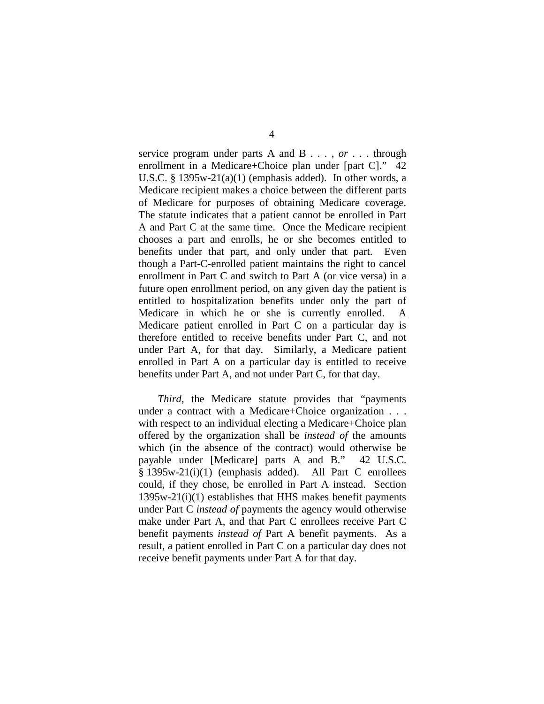service program under parts A and B . . . , *or* . . . through enrollment in a Medicare+Choice plan under [part C]." 42 U.S.C. § 1395w-21(a)(1) (emphasis added). In other words, a Medicare recipient makes a choice between the different parts of Medicare for purposes of obtaining Medicare coverage. The statute indicates that a patient cannot be enrolled in Part A and Part C at the same time. Once the Medicare recipient chooses a part and enrolls, he or she becomes entitled to benefits under that part, and only under that part. Even though a Part-C-enrolled patient maintains the right to cancel enrollment in Part C and switch to Part A (or vice versa) in a future open enrollment period, on any given day the patient is entitled to hospitalization benefits under only the part of Medicare in which he or she is currently enrolled. A Medicare patient enrolled in Part C on a particular day is therefore entitled to receive benefits under Part C, and not under Part A, for that day. Similarly, a Medicare patient enrolled in Part A on a particular day is entitled to receive benefits under Part A, and not under Part C, for that day.

*Third*, the Medicare statute provides that "payments under a contract with a Medicare+Choice organization . . . with respect to an individual electing a Medicare+Choice plan offered by the organization shall be *instead of* the amounts which (in the absence of the contract) would otherwise be payable under [Medicare] parts A and B." 42 U.S.C. § 1395w-21(i)(1) (emphasis added). All Part C enrollees could, if they chose, be enrolled in Part A instead. Section 1395w-21(i)(1) establishes that HHS makes benefit payments under Part C *instead of* payments the agency would otherwise make under Part A, and that Part C enrollees receive Part C benefit payments *instead of* Part A benefit payments. As a result, a patient enrolled in Part C on a particular day does not receive benefit payments under Part A for that day.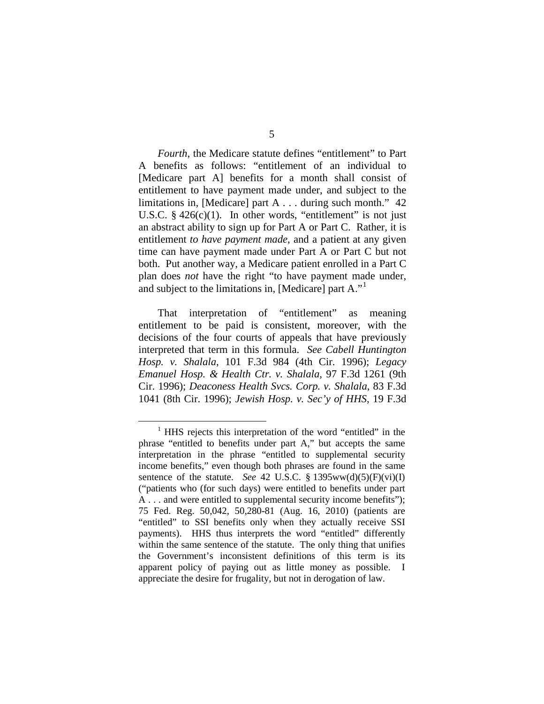*Fourth*, the Medicare statute defines "entitlement" to Part A benefits as follows: "entitlement of an individual to [Medicare part A] benefits for a month shall consist of entitlement to have payment made under, and subject to the limitations in, [Medicare] part A . . . during such month." 42 U.S.C.  $§$  426(c)(1). In other words, "entitlement" is not just an abstract ability to sign up for Part A or Part C. Rather, it is entitlement *to have payment made*, and a patient at any given time can have payment made under Part A or Part C but not both. Put another way, a Medicare patient enrolled in a Part C plan does *not* have the right "to have payment made under, and subject to the limitations in, [Medicare] part A."[1](#page-37-0)

That interpretation of "entitlement" as meaning entitlement to be paid is consistent, moreover, with the decisions of the four courts of appeals that have previously interpreted that term in this formula. *See Cabell Huntington Hosp. v. Shalala*, 101 F.3d 984 (4th Cir. 1996); *Legacy Emanuel Hosp. & Health Ctr. v. Shalala*, 97 F.3d 1261 (9th Cir. 1996); *Deaconess Health Svcs. Corp. v. Shalala*, 83 F.3d 1041 (8th Cir. 1996); *Jewish Hosp. v. Sec'y of HHS*, 19 F.3d

<span id="page-37-0"></span><sup>&</sup>lt;sup>1</sup> HHS rejects this interpretation of the word "entitled" in the phrase "entitled to benefits under part A," but accepts the same interpretation in the phrase "entitled to supplemental security income benefits," even though both phrases are found in the same sentence of the statute. *See* 42 U.S.C. § 1395ww(d)(5)(F)(vi)(I) ("patients who (for such days) were entitled to benefits under part A . . . and were entitled to supplemental security income benefits"); 75 Fed. Reg. 50,042, 50,280-81 (Aug. 16, 2010) (patients are "entitled" to SSI benefits only when they actually receive SSI payments). HHS thus interprets the word "entitled" differently within the same sentence of the statute. The only thing that unifies the Government's inconsistent definitions of this term is its apparent policy of paying out as little money as possible. I appreciate the desire for frugality, but not in derogation of law.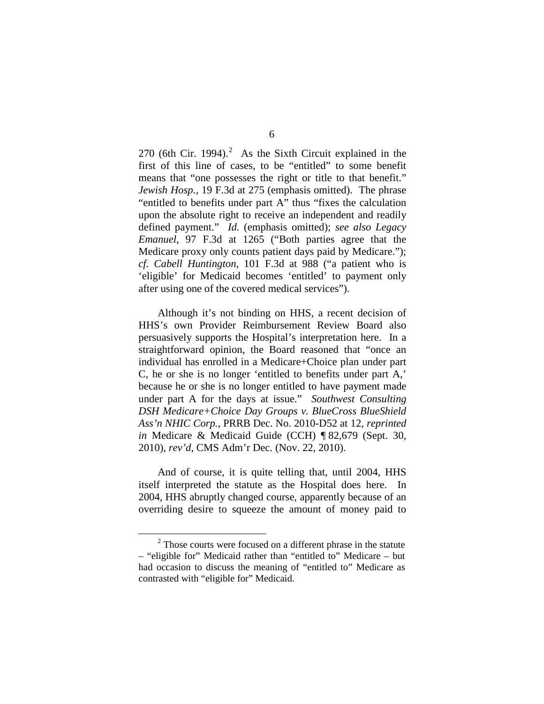[2](#page-38-0)70 (6th Cir. 1994). $^2$  As the Sixth Circuit explained in the first of this line of cases, to be "entitled" to some benefit means that "one possesses the right or title to that benefit." *Jewish Hosp.*, 19 F.3d at 275 (emphasis omitted). The phrase "entitled to benefits under part A" thus "fixes the calculation upon the absolute right to receive an independent and readily defined payment." *Id.* (emphasis omitted); *see also Legacy Emanuel*, 97 F.3d at 1265 ("Both parties agree that the Medicare proxy only counts patient days paid by Medicare."); *cf. Cabell Huntington*, 101 F.3d at 988 ("a patient who is 'eligible' for Medicaid becomes 'entitled' to payment only after using one of the covered medical services").

Although it's not binding on HHS, a recent decision of HHS's own Provider Reimbursement Review Board also persuasively supports the Hospital's interpretation here. In a straightforward opinion, the Board reasoned that "once an individual has enrolled in a Medicare+Choice plan under part C, he or she is no longer 'entitled to benefits under part A,' because he or she is no longer entitled to have payment made under part A for the days at issue." *Southwest Consulting DSH Medicare+Choice Day Groups v. BlueCross BlueShield Ass'n NHIC Corp.*, PRRB Dec. No. 2010-D52 at 12, *reprinted in* Medicare & Medicaid Guide (CCH) ¶ 82,679 (Sept. 30, 2010), *rev'd*, CMS Adm'r Dec. (Nov. 22, 2010).

And of course, it is quite telling that, until 2004, HHS itself interpreted the statute as the Hospital does here. In 2004, HHS abruptly changed course, apparently because of an overriding desire to squeeze the amount of money paid to

<span id="page-38-0"></span> $2$  Those courts were focused on a different phrase in the statute – "eligible for" Medicaid rather than "entitled to" Medicare – but had occasion to discuss the meaning of "entitled to" Medicare as contrasted with "eligible for" Medicaid.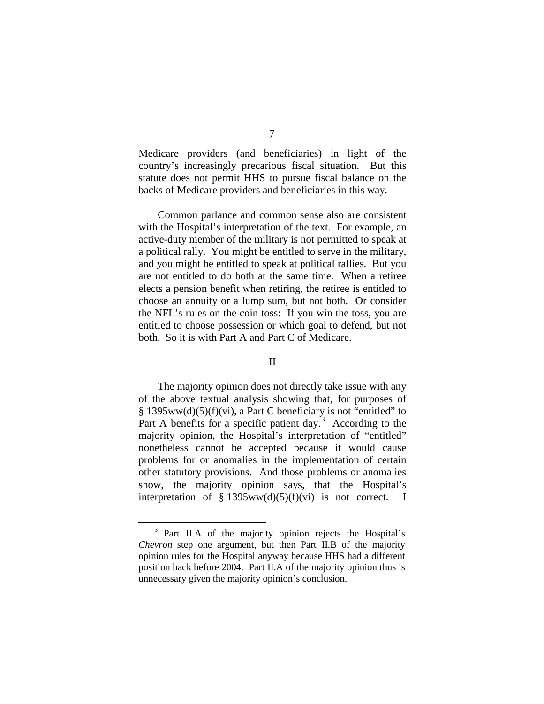Medicare providers (and beneficiaries) in light of the country's increasingly precarious fiscal situation. But this statute does not permit HHS to pursue fiscal balance on the backs of Medicare providers and beneficiaries in this way.

Common parlance and common sense also are consistent with the Hospital's interpretation of the text. For example, an active-duty member of the military is not permitted to speak at a political rally. You might be entitled to serve in the military, and you might be entitled to speak at political rallies. But you are not entitled to do both at the same time. When a retiree elects a pension benefit when retiring, the retiree is entitled to choose an annuity or a lump sum, but not both. Or consider the NFL's rules on the coin toss: If you win the toss, you are entitled to choose possession or which goal to defend, but not both. So it is with Part A and Part C of Medicare.

## II

The majority opinion does not directly take issue with any of the above textual analysis showing that, for purposes of § 1395ww(d)(5)(f)(vi), a Part C beneficiary is not "entitled" to Part A benefits for a specific patient day.<sup>[3](#page-39-0)</sup> According to the majority opinion, the Hospital's interpretation of "entitled" nonetheless cannot be accepted because it would cause problems for or anomalies in the implementation of certain other statutory provisions. And those problems or anomalies show, the majority opinion says, that the Hospital's interpretation of § 1395ww(d)(5)(f)(vi) is not correct. I

<span id="page-39-0"></span> <sup>3</sup> Part II.A of the majority opinion rejects the Hospital's *Chevron* step one argument, but then Part II.B of the majority opinion rules for the Hospital anyway because HHS had a different position back before 2004. Part II.A of the majority opinion thus is unnecessary given the majority opinion's conclusion.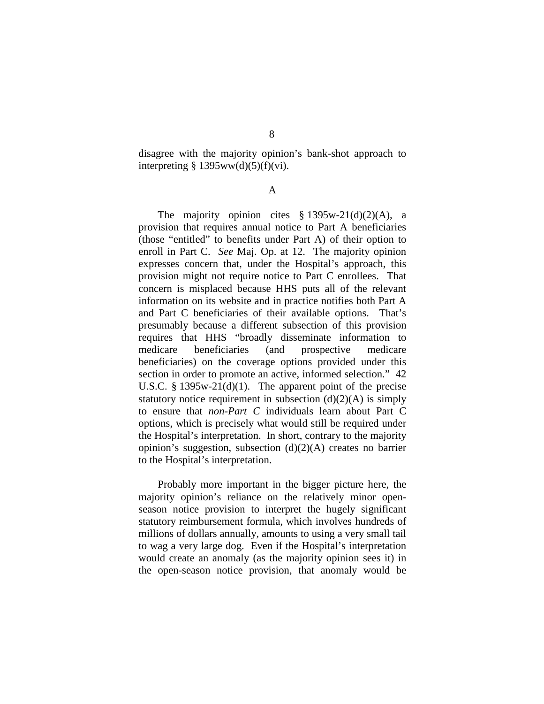disagree with the majority opinion's bank-shot approach to interpreting  $§$  1395ww(d)(5)(f)(vi).

A

The majority opinion cites  $$ 1395w-21(d)(2)(A)$ , a provision that requires annual notice to Part A beneficiaries (those "entitled" to benefits under Part A) of their option to enroll in Part C. *See* Maj. Op. at 12. The majority opinion expresses concern that, under the Hospital's approach, this provision might not require notice to Part C enrollees. That concern is misplaced because HHS puts all of the relevant information on its website and in practice notifies both Part A and Part C beneficiaries of their available options. That's presumably because a different subsection of this provision requires that HHS "broadly disseminate information to medicare beneficiaries (and prospective medicare beneficiaries) on the coverage options provided under this section in order to promote an active, informed selection." 42 U.S.C. § 1395w-21(d)(1). The apparent point of the precise statutory notice requirement in subsection  $(d)(2)(A)$  is simply to ensure that *non-Part C* individuals learn about Part C options, which is precisely what would still be required under the Hospital's interpretation. In short, contrary to the majority opinion's suggestion, subsection (d)(2)(A) creates no barrier to the Hospital's interpretation.

Probably more important in the bigger picture here, the majority opinion's reliance on the relatively minor openseason notice provision to interpret the hugely significant statutory reimbursement formula, which involves hundreds of millions of dollars annually, amounts to using a very small tail to wag a very large dog. Even if the Hospital's interpretation would create an anomaly (as the majority opinion sees it) in the open-season notice provision, that anomaly would be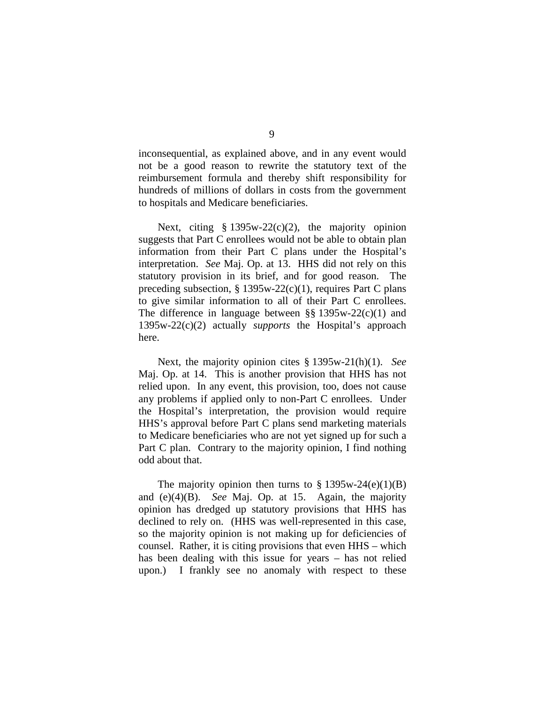inconsequential, as explained above, and in any event would not be a good reason to rewrite the statutory text of the reimbursement formula and thereby shift responsibility for hundreds of millions of dollars in costs from the government to hospitals and Medicare beneficiaries.

Next, citing  $§ 1395w-22(c)(2)$ , the majority opinion suggests that Part C enrollees would not be able to obtain plan information from their Part C plans under the Hospital's interpretation. *See* Maj. Op. at 13. HHS did not rely on this statutory provision in its brief, and for good reason. The preceding subsection, § 1395w-22(c)(1), requires Part C plans to give similar information to all of their Part C enrollees. The difference in language between  $\S$ § 1395w-22(c)(1) and 1395w-22(c)(2) actually *supports* the Hospital's approach here.

Next, the majority opinion cites § 1395w-21(h)(1). *See*  Maj. Op. at 14. This is another provision that HHS has not relied upon. In any event, this provision, too, does not cause any problems if applied only to non-Part C enrollees. Under the Hospital's interpretation, the provision would require HHS's approval before Part C plans send marketing materials to Medicare beneficiaries who are not yet signed up for such a Part C plan. Contrary to the majority opinion, I find nothing odd about that.

The majority opinion then turns to  $\S 1395w-24(e)(1)(B)$ and (e)(4)(B). *See* Maj. Op. at 15. Again, the majority opinion has dredged up statutory provisions that HHS has declined to rely on. (HHS was well-represented in this case, so the majority opinion is not making up for deficiencies of counsel. Rather, it is citing provisions that even HHS – which has been dealing with this issue for years – has not relied upon.) I frankly see no anomaly with respect to these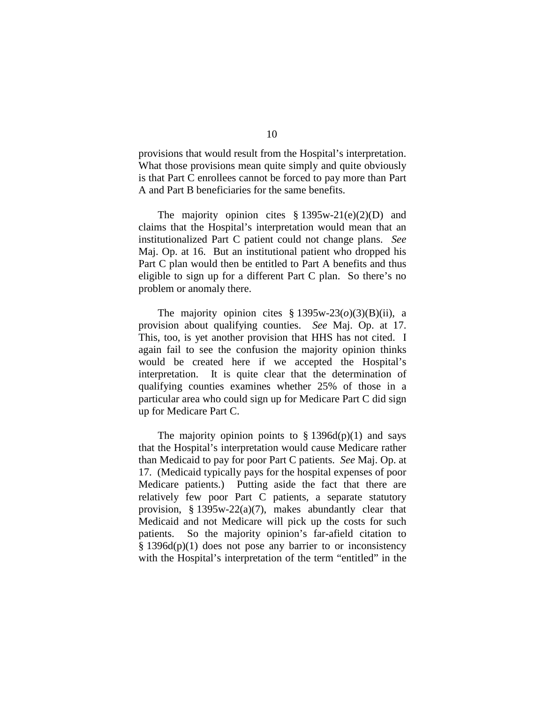provisions that would result from the Hospital's interpretation. What those provisions mean quite simply and quite obviously is that Part C enrollees cannot be forced to pay more than Part A and Part B beneficiaries for the same benefits.

The majority opinion cites  $\S 1395w-21(e)(2)(D)$  and claims that the Hospital's interpretation would mean that an institutionalized Part C patient could not change plans. *See*  Maj. Op. at 16. But an institutional patient who dropped his Part C plan would then be entitled to Part A benefits and thus eligible to sign up for a different Part C plan. So there's no problem or anomaly there.

The majority opinion cites  $\S 1395w-23(\omega)(3)(B)(ii)$ , a provision about qualifying counties. *See* Maj. Op. at 17. This, too, is yet another provision that HHS has not cited. I again fail to see the confusion the majority opinion thinks would be created here if we accepted the Hospital's interpretation. It is quite clear that the determination of qualifying counties examines whether 25% of those in a particular area who could sign up for Medicare Part C did sign up for Medicare Part C.

The majority opinion points to  $\S$  1396d(p)(1) and says that the Hospital's interpretation would cause Medicare rather than Medicaid to pay for poor Part C patients. *See* Maj. Op. at 17. (Medicaid typically pays for the hospital expenses of poor Medicare patients.) Putting aside the fact that there are relatively few poor Part C patients, a separate statutory provision, § 1395w-22(a)(7), makes abundantly clear that Medicaid and not Medicare will pick up the costs for such patients. So the majority opinion's far-afield citation to § 1396d(p)(1) does not pose any barrier to or inconsistency with the Hospital's interpretation of the term "entitled" in the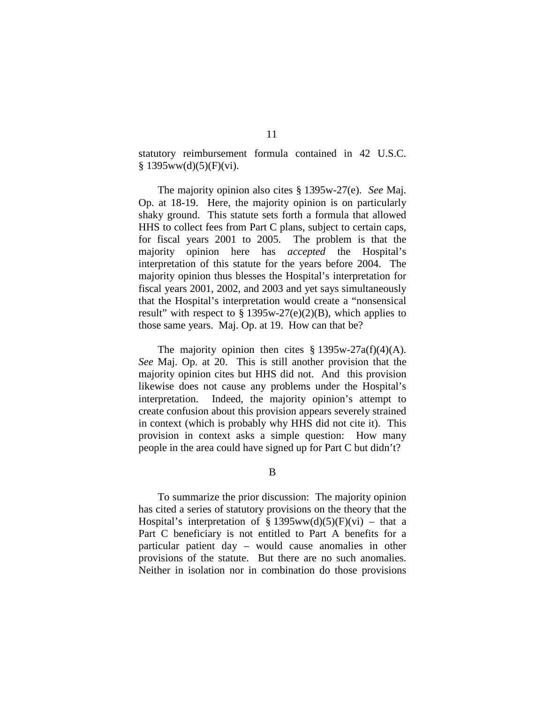statutory reimbursement formula contained in 42 U.S.C.  $§ 1395ww(d)(5)(F)(vi).$ 

The majority opinion also cites § 1395w-27(e). *See* Maj. Op. at 18-19. Here, the majority opinion is on particularly shaky ground. This statute sets forth a formula that allowed HHS to collect fees from Part C plans, subject to certain caps, for fiscal years 2001 to 2005. The problem is that the majority opinion here has *accepted* the Hospital's interpretation of this statute for the years before 2004. The majority opinion thus blesses the Hospital's interpretation for fiscal years 2001, 2002, and 2003 and yet says simultaneously that the Hospital's interpretation would create a "nonsensical result" with respect to  $\S 1395w-27(e)(2)(B)$ , which applies to those same years. Maj. Op. at 19. How can that be?

The majority opinion then cites  $\S 1395w-27a(f)(4)(A)$ . *See* Maj. Op. at 20. This is still another provision that the majority opinion cites but HHS did not. And this provision likewise does not cause any problems under the Hospital's interpretation. Indeed, the majority opinion's attempt to create confusion about this provision appears severely strained in context (which is probably why HHS did not cite it). This provision in context asks a simple question: How many people in the area could have signed up for Part C but didn't?

B

To summarize the prior discussion: The majority opinion has cited a series of statutory provisions on the theory that the Hospital's interpretation of § 1395ww(d)(5)(F)(vi) – that a Part C beneficiary is not entitled to Part A benefits for a particular patient day – would cause anomalies in other provisions of the statute. But there are no such anomalies. Neither in isolation nor in combination do those provisions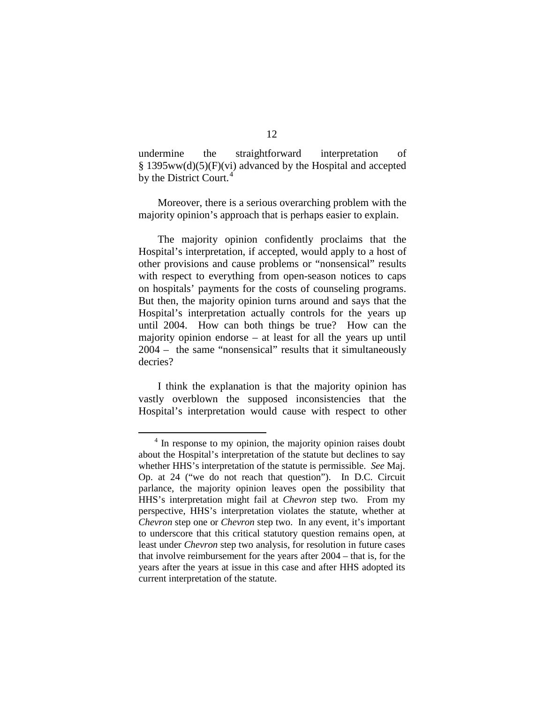undermine the straightforward interpretation of  $§$  1395ww(d)(5)(F)(vi) advanced by the Hospital and accepted by the District Court.<sup>[4](#page-44-0)</sup>

Moreover, there is a serious overarching problem with the majority opinion's approach that is perhaps easier to explain.

The majority opinion confidently proclaims that the Hospital's interpretation, if accepted, would apply to a host of other provisions and cause problems or "nonsensical" results with respect to everything from open-season notices to caps on hospitals' payments for the costs of counseling programs. But then, the majority opinion turns around and says that the Hospital's interpretation actually controls for the years up until 2004. How can both things be true? How can the majority opinion endorse – at least for all the years up until 2004 – the same "nonsensical" results that it simultaneously decries?

I think the explanation is that the majority opinion has vastly overblown the supposed inconsistencies that the Hospital's interpretation would cause with respect to other

<span id="page-44-0"></span><sup>&</sup>lt;sup>4</sup> In response to my opinion, the majority opinion raises doubt about the Hospital's interpretation of the statute but declines to say whether HHS's interpretation of the statute is permissible. *See* Maj. Op. at 24 ("we do not reach that question"). In D.C. Circuit parlance, the majority opinion leaves open the possibility that HHS's interpretation might fail at *Chevron* step two. From my perspective, HHS's interpretation violates the statute, whether at *Chevron* step one or *Chevron* step two. In any event, it's important to underscore that this critical statutory question remains open, at least under *Chevron* step two analysis, for resolution in future cases that involve reimbursement for the years after 2004 – that is, for the years after the years at issue in this case and after HHS adopted its current interpretation of the statute.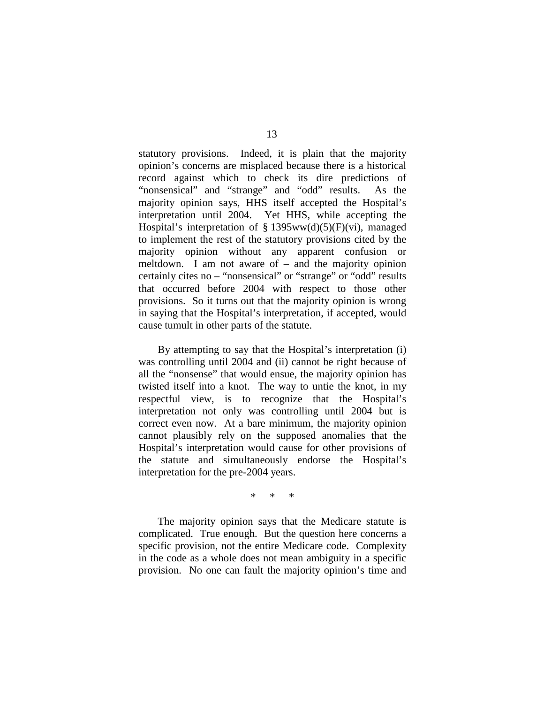statutory provisions. Indeed, it is plain that the majority opinion's concerns are misplaced because there is a historical record against which to check its dire predictions of "nonsensical" and "strange" and "odd" results. As the majority opinion says, HHS itself accepted the Hospital's interpretation until 2004. Yet HHS, while accepting the Hospital's interpretation of § 1395ww(d)(5)(F)(vi), managed to implement the rest of the statutory provisions cited by the majority opinion without any apparent confusion or meltdown. I am not aware of – and the majority opinion certainly cites no – "nonsensical" or "strange" or "odd" results that occurred before 2004 with respect to those other provisions. So it turns out that the majority opinion is wrong in saying that the Hospital's interpretation, if accepted, would cause tumult in other parts of the statute.

By attempting to say that the Hospital's interpretation (i) was controlling until 2004 and (ii) cannot be right because of all the "nonsense" that would ensue, the majority opinion has twisted itself into a knot. The way to untie the knot, in my respectful view, is to recognize that the Hospital's interpretation not only was controlling until 2004 but is correct even now. At a bare minimum, the majority opinion cannot plausibly rely on the supposed anomalies that the Hospital's interpretation would cause for other provisions of the statute and simultaneously endorse the Hospital's interpretation for the pre-2004 years.

\* \* \*

The majority opinion says that the Medicare statute is complicated. True enough. But the question here concerns a specific provision, not the entire Medicare code. Complexity in the code as a whole does not mean ambiguity in a specific provision. No one can fault the majority opinion's time and